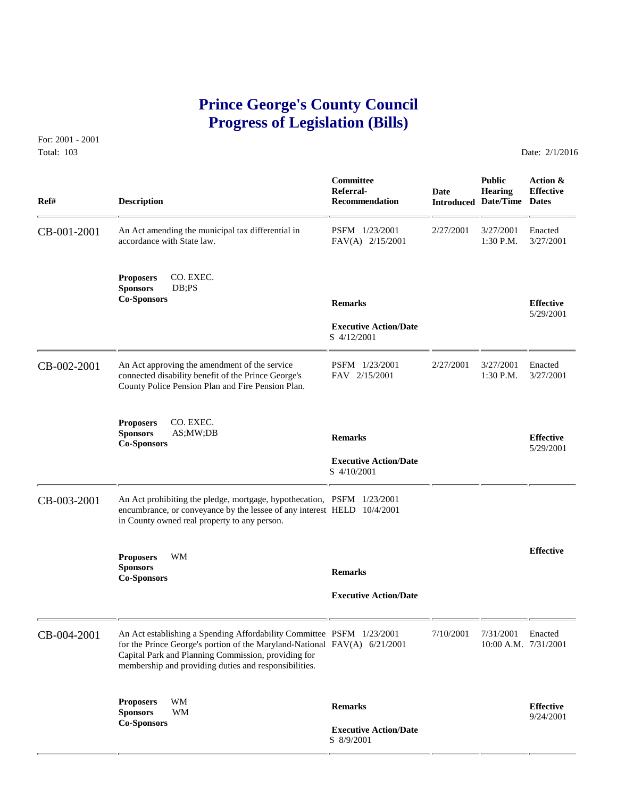# **Prince George's County Council Progress of Legislation (Bills)**

For: 2001 - 2001 Total: 103 Date: 2/1/2016

| Ref#        | <b>Description</b>                                                                                                                                                                                                                                                 | <b>Committee</b><br>Referral-<br><b>Recommendation</b>        | Date      | <b>Public</b><br><b>Hearing</b><br><b>Introduced Date/Time Dates</b> | Action &<br><b>Effective</b>  |
|-------------|--------------------------------------------------------------------------------------------------------------------------------------------------------------------------------------------------------------------------------------------------------------------|---------------------------------------------------------------|-----------|----------------------------------------------------------------------|-------------------------------|
| CB-001-2001 | An Act amending the municipal tax differential in<br>accordance with State law.                                                                                                                                                                                    | PSFM 1/23/2001<br>FAV(A) 2/15/2001                            | 2/27/2001 | 3/27/2001<br>1:30 P.M.                                               | Enacted<br>3/27/2001          |
|             | CO. EXEC.<br><b>Proposers</b><br><b>Sponsors</b><br>DB;PS<br><b>Co-Sponsors</b>                                                                                                                                                                                    | <b>Remarks</b><br><b>Executive Action/Date</b><br>S 4/12/2001 |           |                                                                      | <b>Effective</b><br>5/29/2001 |
| CB-002-2001 | An Act approving the amendment of the service<br>connected disability benefit of the Prince George's<br>County Police Pension Plan and Fire Pension Plan.                                                                                                          | PSFM 1/23/2001<br>FAV 2/15/2001                               | 2/27/2001 | 3/27/2001<br>1:30 P.M.                                               | Enacted<br>3/27/2001          |
|             | CO. EXEC.<br><b>Proposers</b><br><b>Sponsors</b><br>AS; MW; DB<br><b>Co-Sponsors</b>                                                                                                                                                                               | <b>Remarks</b><br><b>Executive Action/Date</b><br>S 4/10/2001 |           |                                                                      | <b>Effective</b><br>5/29/2001 |
| CB-003-2001 | An Act prohibiting the pledge, mortgage, hypothecation, PSFM 1/23/2001<br>encumbrance, or conveyance by the lessee of any interest HELD 10/4/2001<br>in County owned real property to any person.                                                                  |                                                               |           |                                                                      |                               |
|             | <b>Proposers</b><br>WM<br><b>Sponsors</b><br><b>Co-Sponsors</b>                                                                                                                                                                                                    | <b>Remarks</b><br><b>Executive Action/Date</b>                |           |                                                                      | <b>Effective</b>              |
| CB-004-2001 | An Act establishing a Spending Affordability Committee PSFM 1/23/2001<br>for the Prince George's portion of the Maryland-National FAV(A) 6/21/2001<br>Capital Park and Planning Commission, providing for<br>membership and providing duties and responsibilities. |                                                               | 7/10/2001 | 7/31/2001<br>10:00 A.M. 7/31/2001                                    | Enacted                       |
|             | WM<br><b>Proposers</b><br>WM<br><b>Sponsors</b><br><b>Co-Sponsors</b>                                                                                                                                                                                              | <b>Remarks</b><br><b>Executive Action/Date</b><br>S 8/9/2001  |           |                                                                      | <b>Effective</b><br>9/24/2001 |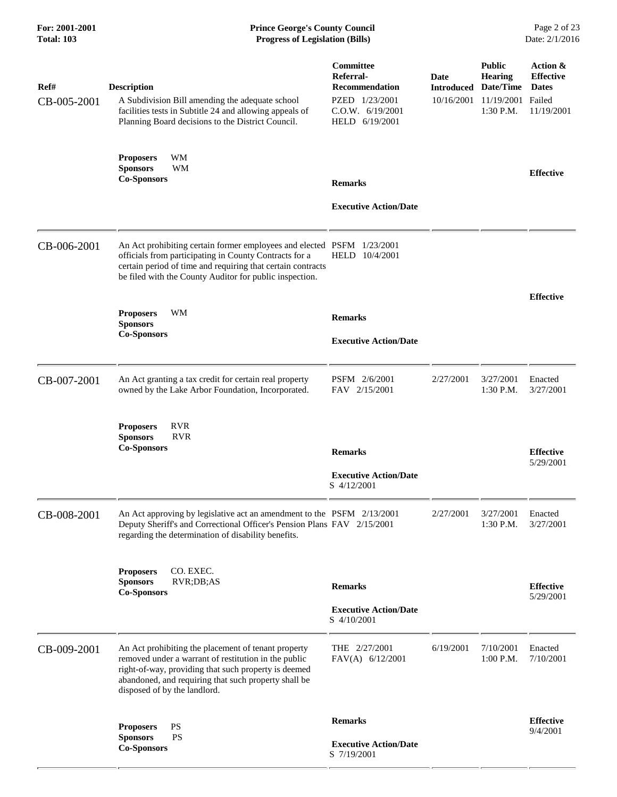| Ref#<br>CB-005-2001 | <b>Description</b><br>A Subdivision Bill amending the adequate school<br>facilities tests in Subtitle 24 and allowing appeals of<br>Planning Board decisions to the District Council.                                                                       | Committee<br>Referral-<br><b>Recommendation</b><br>PZED 1/23/2001<br>C.O.W. 6/19/2001<br>HELD 6/19/2001 | Date<br><b>Introduced</b><br>10/16/2001 | <b>Public</b><br><b>Hearing</b><br>Date/Time<br>11/19/2001 Failed<br>1:30 P.M. | Action &<br><b>Effective</b><br><b>Dates</b><br>11/19/2001 |
|---------------------|-------------------------------------------------------------------------------------------------------------------------------------------------------------------------------------------------------------------------------------------------------------|---------------------------------------------------------------------------------------------------------|-----------------------------------------|--------------------------------------------------------------------------------|------------------------------------------------------------|
|                     | <b>WM</b><br><b>Proposers</b><br>WM<br><b>Sponsors</b><br><b>Co-Sponsors</b>                                                                                                                                                                                | <b>Remarks</b><br><b>Executive Action/Date</b>                                                          |                                         |                                                                                | <b>Effective</b>                                           |
| CB-006-2001         | An Act prohibiting certain former employees and elected PSFM 1/23/2001<br>officials from participating in County Contracts for a<br>certain period of time and requiring that certain contracts<br>be filed with the County Auditor for public inspection.  | HELD 10/4/2001                                                                                          |                                         |                                                                                |                                                            |
|                     | <b>WM</b><br><b>Proposers</b><br><b>Sponsors</b><br><b>Co-Sponsors</b>                                                                                                                                                                                      | <b>Remarks</b><br><b>Executive Action/Date</b>                                                          |                                         |                                                                                | <b>Effective</b>                                           |
| CB-007-2001         | An Act granting a tax credit for certain real property<br>owned by the Lake Arbor Foundation, Incorporated.                                                                                                                                                 | PSFM 2/6/2001<br>FAV 2/15/2001                                                                          | 2/27/2001                               | 3/27/2001<br>1:30 P.M.                                                         | Enacted<br>3/27/2001                                       |
|                     | <b>RVR</b><br><b>Proposers</b><br><b>RVR</b><br><b>Sponsors</b><br><b>Co-Sponsors</b>                                                                                                                                                                       | <b>Remarks</b><br><b>Executive Action/Date</b><br>S 4/12/2001                                           |                                         |                                                                                | <b>Effective</b><br>5/29/2001                              |
| CB-008-2001         | An Act approving by legislative act an amendment to the PSFM 2/13/2001<br>Deputy Sheriff's and Correctional Officer's Pension Plans FAV 2/15/2001<br>regarding the determination of disability benefits.                                                    |                                                                                                         | 2/27/2001                               | 3/27/2001<br>1:30 P.M.                                                         | Enacted<br>3/27/2001                                       |
|                     | <b>Proposers</b><br>CO. EXEC.<br><b>Sponsors</b><br>RVR;DB;AS<br><b>Co-Sponsors</b>                                                                                                                                                                         | <b>Remarks</b><br><b>Executive Action/Date</b><br>S 4/10/2001                                           |                                         |                                                                                | <b>Effective</b><br>5/29/2001                              |
| CB-009-2001         | An Act prohibiting the placement of tenant property<br>removed under a warrant of restitution in the public<br>right-of-way, providing that such property is deemed<br>abandoned, and requiring that such property shall be<br>disposed of by the landlord. | THE 2/27/2001<br>FAV(A) 6/12/2001                                                                       | 6/19/2001                               | 7/10/2001<br>1:00 P.M.                                                         | Enacted<br>7/10/2001                                       |
|                     | PS<br><b>Proposers</b><br><b>PS</b><br><b>Sponsors</b><br><b>Co-Sponsors</b>                                                                                                                                                                                | <b>Remarks</b><br><b>Executive Action/Date</b><br>S 7/19/2001                                           |                                         |                                                                                | <b>Effective</b><br>9/4/2001                               |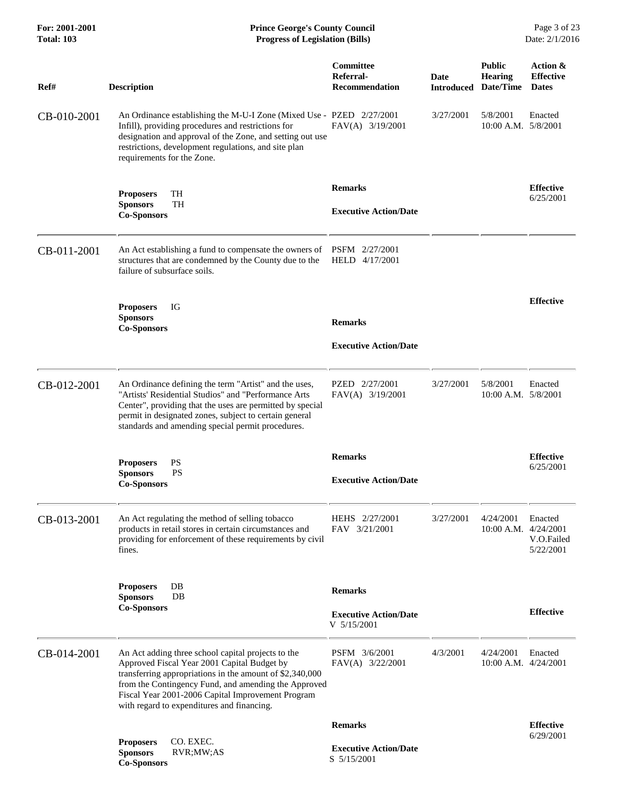| For: 2001-2001<br><b>Total: 103</b> | <b>Prince George's County Council</b><br><b>Progress of Legislation (Bills)</b>                                                                                                                                                                                                                                          |                                                 |             |                                                                | Page 3 of 23<br>Date: 2/1/2016               |
|-------------------------------------|--------------------------------------------------------------------------------------------------------------------------------------------------------------------------------------------------------------------------------------------------------------------------------------------------------------------------|-------------------------------------------------|-------------|----------------------------------------------------------------|----------------------------------------------|
| Ref#                                | <b>Description</b>                                                                                                                                                                                                                                                                                                       | Committee<br>Referral-<br><b>Recommendation</b> | <b>Date</b> | <b>Public</b><br><b>Hearing</b><br><b>Introduced Date/Time</b> | Action &<br><b>Effective</b><br><b>Dates</b> |
| CB-010-2001                         | An Ordinance establishing the M-U-I Zone (Mixed Use - PZED 2/27/2001<br>Infill), providing procedures and restrictions for<br>designation and approval of the Zone, and setting out use<br>restrictions, development regulations, and site plan<br>requirements for the Zone.                                            | FAV(A) 3/19/2001                                | 3/27/2001   | 5/8/2001<br>10:00 A.M. 5/8/2001                                | Enacted                                      |
|                                     | TH<br><b>Proposers</b>                                                                                                                                                                                                                                                                                                   | <b>Remarks</b>                                  |             |                                                                | <b>Effective</b><br>6/25/2001                |
|                                     | <b>TH</b><br><b>Sponsors</b><br><b>Co-Sponsors</b>                                                                                                                                                                                                                                                                       | <b>Executive Action/Date</b>                    |             |                                                                |                                              |
| CB-011-2001                         | An Act establishing a fund to compensate the owners of<br>structures that are condemned by the County due to the<br>failure of subsurface soils.                                                                                                                                                                         | PSFM 2/27/2001<br>HELD 4/17/2001                |             |                                                                |                                              |
|                                     | IG<br><b>Proposers</b><br><b>Sponsors</b>                                                                                                                                                                                                                                                                                |                                                 |             |                                                                | <b>Effective</b>                             |
|                                     | <b>Co-Sponsors</b>                                                                                                                                                                                                                                                                                                       | <b>Remarks</b>                                  |             |                                                                |                                              |
|                                     |                                                                                                                                                                                                                                                                                                                          | <b>Executive Action/Date</b>                    |             |                                                                |                                              |
| CB-012-2001                         | An Ordinance defining the term "Artist" and the uses,<br>"Artists' Residential Studios" and "Performance Arts<br>Center", providing that the uses are permitted by special<br>permit in designated zones, subject to certain general<br>standards and amending special permit procedures.                                | PZED 2/27/2001<br>FAV(A) 3/19/2001              | 3/27/2001   | 5/8/2001<br>$10:00$ A.M. $5/8/2001$                            | Enacted                                      |
|                                     | PS<br><b>Proposers</b>                                                                                                                                                                                                                                                                                                   | <b>Remarks</b>                                  |             |                                                                | <b>Effective</b>                             |
|                                     | PS<br><b>Sponsors</b><br><b>Co-Sponsors</b>                                                                                                                                                                                                                                                                              | <b>Executive Action/Date</b>                    |             |                                                                | 6/25/2001                                    |
| CB-013-2001                         | An Act regulating the method of selling tobacco<br>products in retail stores in certain circumstances and<br>providing for enforcement of these requirements by civil<br>fines.                                                                                                                                          | HEHS 2/27/2001<br>FAV 3/21/2001                 | 3/27/2001   | 4/24/2001<br>10:00 A.M. 4/24/2001                              | Enacted<br>V.O.Failed<br>5/22/2001           |
|                                     | DB<br><b>Proposers</b><br>DB                                                                                                                                                                                                                                                                                             | <b>Remarks</b>                                  |             |                                                                |                                              |
|                                     | <b>Sponsors</b><br><b>Co-Sponsors</b>                                                                                                                                                                                                                                                                                    | <b>Executive Action/Date</b><br>V 5/15/2001     |             |                                                                | <b>Effective</b>                             |
| CB-014-2001                         | An Act adding three school capital projects to the<br>Approved Fiscal Year 2001 Capital Budget by<br>transferring appropriations in the amount of \$2,340,000<br>from the Contingency Fund, and amending the Approved<br>Fiscal Year 2001-2006 Capital Improvement Program<br>with regard to expenditures and financing. | PSFM 3/6/2001<br>FAV(A) 3/22/2001               | 4/3/2001    | 4/24/2001<br>$10:00$ A.M. $4/24/2001$                          | Enacted                                      |
|                                     |                                                                                                                                                                                                                                                                                                                          | <b>Remarks</b>                                  |             |                                                                | <b>Effective</b><br>6/29/2001                |
|                                     | CO. EXEC.<br><b>Proposers</b><br><b>Sponsors</b><br>RVR;MW;AS<br><b>Co-Sponsors</b>                                                                                                                                                                                                                                      | <b>Executive Action/Date</b><br>S 5/15/2001     |             |                                                                |                                              |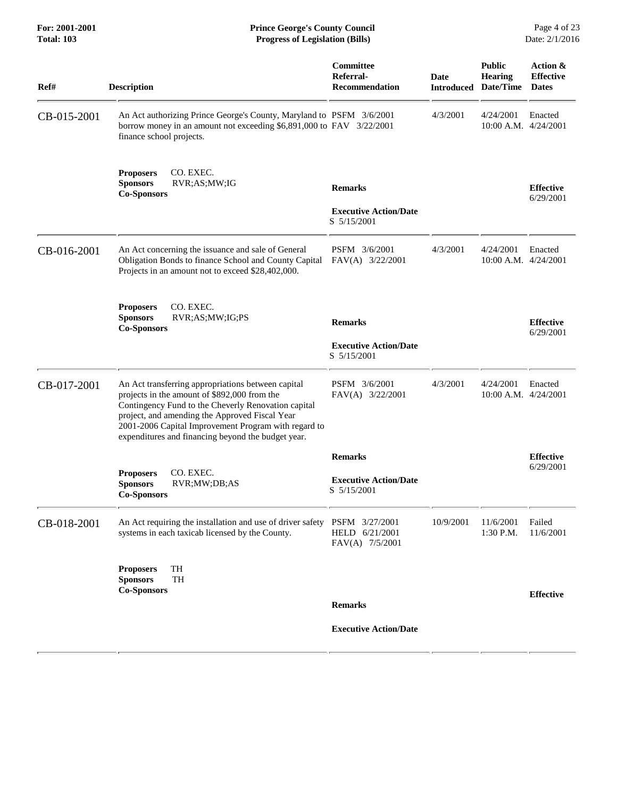**For: 2001-2001 Prince George's County Council** Page 4 of 23<br> **Prince George's County Council** Page 4 of 23<br> **Progress of Legislation (Bills)** Date: 2/1/2016 **Total: 103 Progress of Legislation (Bills)** 

| Ref#        | <b>Description</b>                                                                                                                                                                                                                                                                                                        | <b>Committee</b><br>Referral-<br><b>Recommendation</b>        | <b>Date</b><br><b>Introduced</b> | <b>Public</b><br><b>Hearing</b><br>Date/Time | Action &<br><b>Effective</b><br><b>Dates</b> |
|-------------|---------------------------------------------------------------------------------------------------------------------------------------------------------------------------------------------------------------------------------------------------------------------------------------------------------------------------|---------------------------------------------------------------|----------------------------------|----------------------------------------------|----------------------------------------------|
| CB-015-2001 | An Act authorizing Prince George's County, Maryland to PSFM 3/6/2001<br>borrow money in an amount not exceeding \$6,891,000 to FAV 3/22/2001<br>finance school projects.                                                                                                                                                  |                                                               | 4/3/2001                         | 4/24/2001<br>$10:00$ A.M. $4/24/2001$        | Enacted                                      |
|             | CO. EXEC.<br><b>Proposers</b><br><b>Sponsors</b><br>RVR;AS;MW;IG<br><b>Co-Sponsors</b>                                                                                                                                                                                                                                    | <b>Remarks</b><br><b>Executive Action/Date</b><br>S 5/15/2001 |                                  |                                              | <b>Effective</b><br>6/29/2001                |
| CB-016-2001 | An Act concerning the issuance and sale of General<br>Obligation Bonds to finance School and County Capital<br>Projects in an amount not to exceed \$28,402,000.                                                                                                                                                          | PSFM 3/6/2001<br>FAV(A) 3/22/2001                             | 4/3/2001                         | 4/24/2001<br>10:00 A.M. 4/24/2001            | Enacted                                      |
|             | CO. EXEC.<br><b>Proposers</b><br><b>Sponsors</b><br>RVR;AS;MW;IG;PS<br><b>Co-Sponsors</b>                                                                                                                                                                                                                                 | <b>Remarks</b><br><b>Executive Action/Date</b><br>S 5/15/2001 |                                  |                                              | <b>Effective</b><br>6/29/2001                |
| CB-017-2001 | An Act transferring appropriations between capital<br>projects in the amount of \$892,000 from the<br>Contingency Fund to the Cheverly Renovation capital<br>project, and amending the Approved Fiscal Year<br>2001-2006 Capital Improvement Program with regard to<br>expenditures and financing beyond the budget year. | PSFM 3/6/2001<br>FAV(A) 3/22/2001                             | 4/3/2001                         | 4/24/2001<br>$10:00$ A.M. $4/24/2001$        | Enacted                                      |
|             | <b>Proposers</b><br>CO. EXEC.                                                                                                                                                                                                                                                                                             | <b>Remarks</b>                                                |                                  |                                              | <b>Effective</b><br>6/29/2001                |
|             | <b>Sponsors</b><br>RVR;MW;DB;AS<br><b>Co-Sponsors</b>                                                                                                                                                                                                                                                                     | <b>Executive Action/Date</b><br>S 5/15/2001                   |                                  |                                              |                                              |
| CB-018-2001 | An Act requiring the installation and use of driver safety PSFM 3/27/2001<br>systems in each taxicab licensed by the County.                                                                                                                                                                                              | HELD 6/21/2001<br>FAV(A) 7/5/2001                             | 10/9/2001                        | 11/6/2001<br>1:30 P.M.                       | Failed<br>11/6/2001                          |
|             | <b>Proposers</b><br>TH<br>TH<br><b>Sponsors</b><br><b>Co-Sponsors</b>                                                                                                                                                                                                                                                     |                                                               |                                  |                                              | <b>Effective</b>                             |
|             |                                                                                                                                                                                                                                                                                                                           | <b>Remarks</b><br><b>Executive Action/Date</b>                |                                  |                                              |                                              |
|             |                                                                                                                                                                                                                                                                                                                           |                                                               |                                  |                                              |                                              |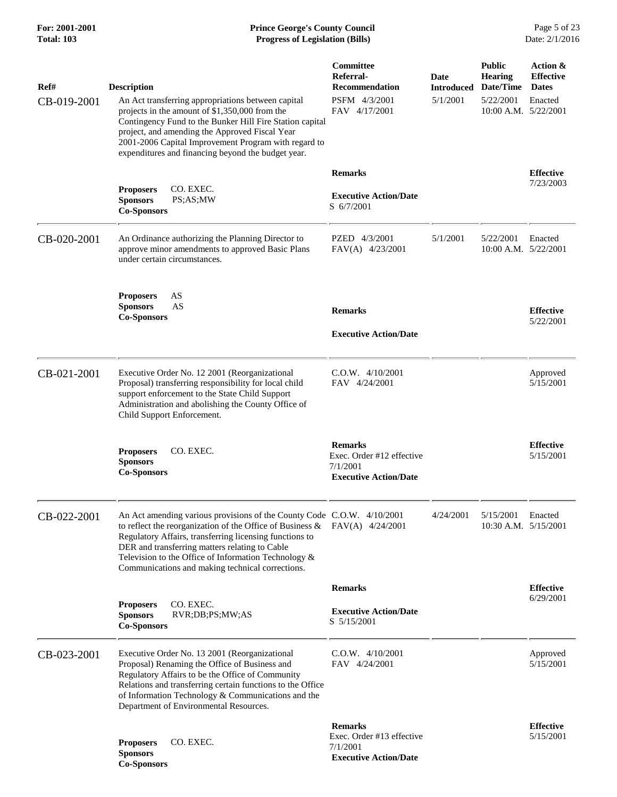## **For: 2001-2001 Prince George's County Council** Page 5 of 23<br> **Prince George's County Council** Page 5 of 23<br> **Progress of Legislation (Bills)** Date: 2/1/2016 **Total: 103 Progress of Legislation (Bills)**

| Ref#<br>CB-019-2001 | <b>Description</b><br>An Act transferring appropriations between capital<br>projects in the amount of \$1,350,000 from the<br>Contingency Fund to the Bunker Hill Fire Station capital<br>project, and amending the Approved Fiscal Year<br>2001-2006 Capital Improvement Program with regard to<br>expenditures and financing beyond the budget year.          | Committee<br>Referral-<br>Recommendation<br>PSFM 4/3/2001<br>FAV 4/17/2001              | Date<br>Introduced<br>5/1/2001 | <b>Public</b><br><b>Hearing</b><br>Date/Time<br>5/22/2001<br>10:00 A.M. 5/22/2001 | Action &<br><b>Effective</b><br><b>Dates</b><br>Enacted |
|---------------------|-----------------------------------------------------------------------------------------------------------------------------------------------------------------------------------------------------------------------------------------------------------------------------------------------------------------------------------------------------------------|-----------------------------------------------------------------------------------------|--------------------------------|-----------------------------------------------------------------------------------|---------------------------------------------------------|
|                     | CO. EXEC.<br><b>Proposers</b><br><b>Sponsors</b><br>PS;AS;MW<br><b>Co-Sponsors</b>                                                                                                                                                                                                                                                                              | <b>Remarks</b><br><b>Executive Action/Date</b><br>S 6/7/2001                            |                                |                                                                                   | <b>Effective</b><br>7/23/2003                           |
| CB-020-2001         | An Ordinance authorizing the Planning Director to<br>approve minor amendments to approved Basic Plans<br>under certain circumstances.                                                                                                                                                                                                                           | PZED 4/3/2001<br>FAV(A) 4/23/2001                                                       | 5/1/2001                       | 5/22/2001<br>10:00 A.M. 5/22/2001                                                 | Enacted                                                 |
|                     | AS<br><b>Proposers</b><br><b>Sponsors</b><br>AS<br><b>Co-Sponsors</b>                                                                                                                                                                                                                                                                                           | <b>Remarks</b><br><b>Executive Action/Date</b>                                          |                                |                                                                                   | <b>Effective</b><br>5/22/2001                           |
| CB-021-2001         | Executive Order No. 12 2001 (Reorganizational<br>Proposal) transferring responsibility for local child<br>support enforcement to the State Child Support<br>Administration and abolishing the County Office of<br>Child Support Enforcement.                                                                                                                    | C.O.W. 4/10/2001<br>FAV 4/24/2001                                                       |                                |                                                                                   | Approved<br>5/15/2001                                   |
|                     | <b>Proposers</b><br>CO. EXEC.<br><b>Sponsors</b><br><b>Co-Sponsors</b>                                                                                                                                                                                                                                                                                          | <b>Remarks</b><br>Exec. Order #12 effective<br>7/1/2001<br><b>Executive Action/Date</b> |                                |                                                                                   | <b>Effective</b><br>5/15/2001                           |
| CB-022-2001         | An Act amending various provisions of the County Code C.O.W. 4/10/2001<br>to reflect the reorganization of the Office of Business $\&$<br>Regulatory Affairs, transferring licensing functions to<br>DER and transferring matters relating to Cable<br>Television to the Office of Information Technology &<br>Communications and making technical corrections. | $FAV(A)$ 4/24/2001                                                                      | 4/24/2001                      | 5/15/2001<br>10:30 A.M. $5/15/2001$                                               | Enacted                                                 |
|                     |                                                                                                                                                                                                                                                                                                                                                                 | <b>Remarks</b>                                                                          |                                |                                                                                   | <b>Effective</b>                                        |
|                     | CO. EXEC.<br><b>Proposers</b><br><b>Sponsors</b><br>RVR;DB;PS;MW;AS<br><b>Co-Sponsors</b>                                                                                                                                                                                                                                                                       | <b>Executive Action/Date</b><br>S 5/15/2001                                             |                                |                                                                                   | 6/29/2001                                               |
| CB-023-2001         | Executive Order No. 13 2001 (Reorganizational<br>Proposal) Renaming the Office of Business and<br>Regulatory Affairs to be the Office of Community<br>Relations and transferring certain functions to the Office<br>of Information Technology & Communications and the<br>Department of Environmental Resources.                                                | $C.0.W.$ 4/10/2001<br>FAV 4/24/2001                                                     |                                |                                                                                   | Approved<br>5/15/2001                                   |
|                     | CO. EXEC.<br><b>Proposers</b><br><b>Sponsors</b><br><b>Co-Sponsors</b>                                                                                                                                                                                                                                                                                          | <b>Remarks</b><br>Exec. Order #13 effective<br>7/1/2001<br><b>Executive Action/Date</b> |                                |                                                                                   | <b>Effective</b><br>5/15/2001                           |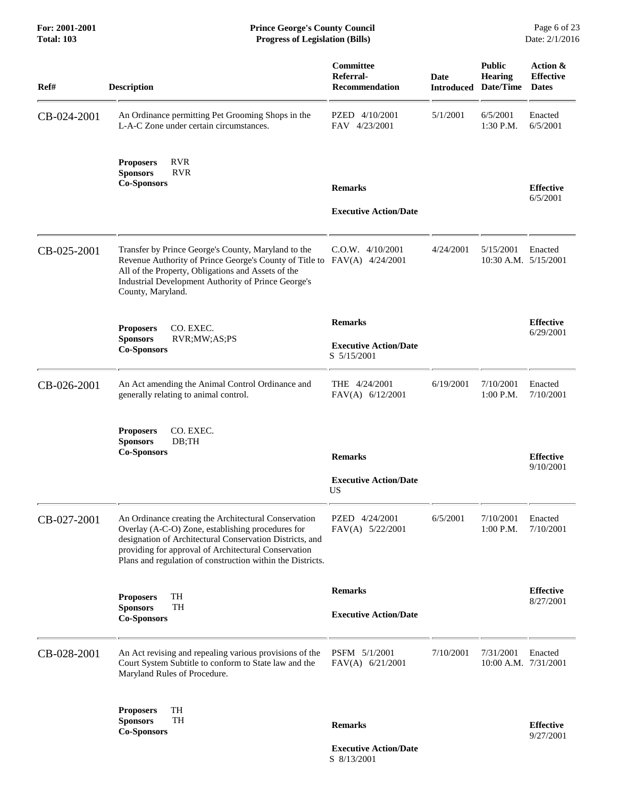| <b>Description</b>                                                                                                                                                                                                                                                                          | Committee<br>Referral-<br><b>Recommendation</b>               | Date                                                                     | <b>Public</b><br>Hearing<br>Date/Time | Action &<br><b>Effective</b><br><b>Dates</b> |
|---------------------------------------------------------------------------------------------------------------------------------------------------------------------------------------------------------------------------------------------------------------------------------------------|---------------------------------------------------------------|--------------------------------------------------------------------------|---------------------------------------|----------------------------------------------|
| An Ordinance permitting Pet Grooming Shops in the<br>L-A-C Zone under certain circumstances.                                                                                                                                                                                                | PZED 4/10/2001<br>FAV 4/23/2001                               | 5/1/2001                                                                 | 6/5/2001<br>1:30 P.M.                 | Enacted<br>6/5/2001                          |
| <b>RVR</b><br><b>Proposers</b><br><b>Sponsors</b><br><b>RVR</b><br><b>Co-Sponsors</b>                                                                                                                                                                                                       | <b>Remarks</b>                                                |                                                                          |                                       | <b>Effective</b>                             |
|                                                                                                                                                                                                                                                                                             | <b>Executive Action/Date</b>                                  |                                                                          |                                       | 6/5/2001                                     |
| Transfer by Prince George's County, Maryland to the<br>All of the Property, Obligations and Assets of the<br>Industrial Development Authority of Prince George's<br>County, Maryland.                                                                                                       | $C.O.W.$ 4/10/2001                                            | 4/24/2001                                                                | 5/15/2001                             | Enacted                                      |
| CO. EXEC.<br><b>Proposers</b><br><b>Sponsors</b><br>RVR;MW;AS;PS<br><b>Co-Sponsors</b>                                                                                                                                                                                                      | <b>Remarks</b><br><b>Executive Action/Date</b><br>S 5/15/2001 |                                                                          |                                       | <b>Effective</b><br>6/29/2001                |
| An Act amending the Animal Control Ordinance and<br>generally relating to animal control.                                                                                                                                                                                                   | THE 4/24/2001<br>$FAV(A)$ 6/12/2001                           | 6/19/2001                                                                | 7/10/2001<br>$1:00$ P.M.              | Enacted<br>7/10/2001                         |
| CO. EXEC.<br><b>Proposers</b><br><b>Sponsors</b><br>DB; TH<br><b>Co-Sponsors</b>                                                                                                                                                                                                            | <b>Remarks</b>                                                |                                                                          |                                       | <b>Effective</b>                             |
|                                                                                                                                                                                                                                                                                             | <b>Executive Action/Date</b><br><b>US</b>                     |                                                                          |                                       | 9/10/2001                                    |
| An Ordinance creating the Architectural Conservation<br>Overlay (A-C-O) Zone, establishing procedures for<br>designation of Architectural Conservation Districts, and<br>providing for approval of Architectural Conservation<br>Plans and regulation of construction within the Districts. | PZED 4/24/2001<br>FAV(A) 5/22/2001                            | 6/5/2001                                                                 | 7/10/2001<br>1:00 P.M.                | Enacted<br>7/10/2001                         |
| TH<br><b>Proposers</b>                                                                                                                                                                                                                                                                      | <b>Remarks</b>                                                |                                                                          |                                       | <b>Effective</b><br>8/27/2001                |
| <b>Co-Sponsors</b>                                                                                                                                                                                                                                                                          | <b>Executive Action/Date</b>                                  |                                                                          |                                       |                                              |
| An Act revising and repealing various provisions of the<br>Court System Subtitle to conform to State law and the<br>Maryland Rules of Procedure.                                                                                                                                            | PSFM 5/1/2001<br>FAV(A) 6/21/2001                             | 7/10/2001                                                                | 7/31/2001                             | Enacted                                      |
| TH<br><b>Proposers</b>                                                                                                                                                                                                                                                                      |                                                               |                                                                          |                                       |                                              |
|                                                                                                                                                                                                                                                                                             | <b>Sponsors</b><br><b>TH</b>                                  | Revenue Authority of Prince George's County of Title to FAV(A) 4/24/2001 | <b>Introduced</b>                     | 10:30 A.M. 5/15/2001<br>10:00 A.M. 7/31/2001 |

 **Executive Action/Date** S 8/13/2001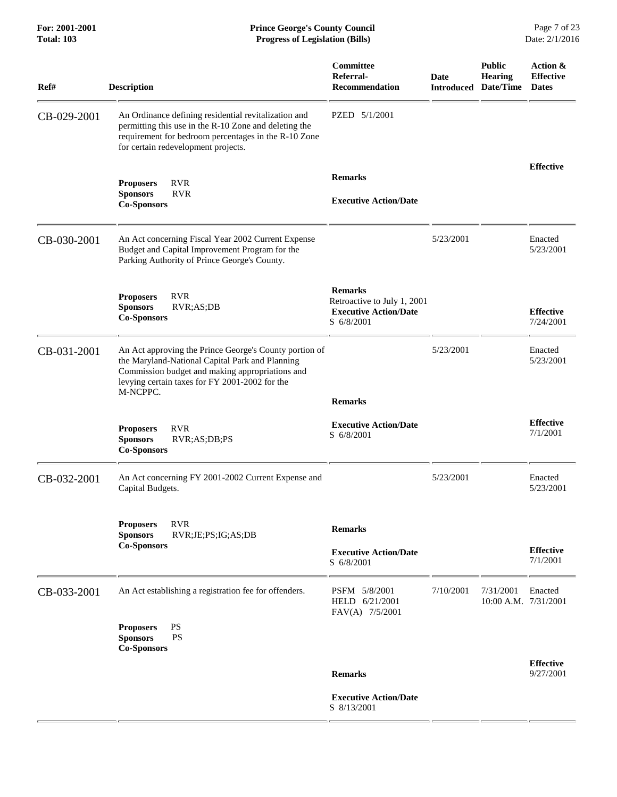| For: 2001-2001<br><b>Total: 103</b> | <b>Prince George's County Council</b><br>Date: 2/1/2016<br><b>Progress of Legislation (Bills)</b>                                                                                                                          |                                                                                             |                                  |                                              |                                              |
|-------------------------------------|----------------------------------------------------------------------------------------------------------------------------------------------------------------------------------------------------------------------------|---------------------------------------------------------------------------------------------|----------------------------------|----------------------------------------------|----------------------------------------------|
| Ref#                                | <b>Description</b>                                                                                                                                                                                                         | <b>Committee</b><br>Referral-<br><b>Recommendation</b>                                      | <b>Date</b><br><b>Introduced</b> | <b>Public</b><br><b>Hearing</b><br>Date/Time | Action &<br><b>Effective</b><br><b>Dates</b> |
| CB-029-2001                         | An Ordinance defining residential revitalization and<br>permitting this use in the R-10 Zone and deleting the<br>requirement for bedroom percentages in the R-10 Zone<br>for certain redevelopment projects.               | PZED 5/1/2001                                                                               |                                  |                                              |                                              |
|                                     | <b>RVR</b><br><b>Proposers</b><br><b>Sponsors</b><br><b>RVR</b><br><b>Co-Sponsors</b>                                                                                                                                      | <b>Remarks</b><br><b>Executive Action/Date</b>                                              |                                  |                                              | <b>Effective</b>                             |
| CB-030-2001                         | An Act concerning Fiscal Year 2002 Current Expense<br>Budget and Capital Improvement Program for the<br>Parking Authority of Prince George's County.                                                                       |                                                                                             | 5/23/2001                        |                                              | Enacted<br>5/23/2001                         |
|                                     | <b>RVR</b><br><b>Proposers</b><br>RVR;AS;DB<br><b>Sponsors</b><br><b>Co-Sponsors</b>                                                                                                                                       | <b>Remarks</b><br>Retroactive to July 1, 2001<br><b>Executive Action/Date</b><br>S 6/8/2001 |                                  |                                              | <b>Effective</b><br>7/24/2001                |
| CB-031-2001                         | An Act approving the Prince George's County portion of<br>the Maryland-National Capital Park and Planning<br>Commission budget and making appropriations and<br>levying certain taxes for FY 2001-2002 for the<br>M-NCPPC. | <b>Remarks</b>                                                                              | 5/23/2001                        |                                              | Enacted<br>5/23/2001                         |
|                                     | <b>RVR</b><br><b>Proposers</b><br><b>Sponsors</b><br>RVR;AS;DB;PS<br><b>Co-Sponsors</b>                                                                                                                                    | <b>Executive Action/Date</b><br>S 6/8/2001                                                  |                                  |                                              | <b>Effective</b><br>7/1/2001                 |
| CB-032-2001                         | An Act concerning FY 2001-2002 Current Expense and<br>Capital Budgets.                                                                                                                                                     |                                                                                             | 5/23/2001                        |                                              | Enacted<br>5/23/2001                         |
|                                     | <b>RVR</b><br><b>Proposers</b><br><b>Sponsors</b><br>RVR;JE;PS;IG;AS;DB<br><b>Co-Sponsors</b>                                                                                                                              | <b>Remarks</b><br><b>Executive Action/Date</b><br>S 6/8/2001                                |                                  |                                              | <b>Effective</b><br>7/1/2001                 |
| CB-033-2001                         | An Act establishing a registration fee for offenders.                                                                                                                                                                      | PSFM 5/8/2001<br>HELD 6/21/2001<br>FAV(A) 7/5/2001                                          | 7/10/2001                        | 7/31/2001                                    | Enacted<br>10:00 A.M. 7/31/2001              |
|                                     | PS<br><b>Proposers</b><br><b>Sponsors</b><br><b>PS</b><br><b>Co-Sponsors</b>                                                                                                                                               |                                                                                             |                                  |                                              |                                              |
|                                     |                                                                                                                                                                                                                            | <b>Remarks</b>                                                                              |                                  |                                              | <b>Effective</b><br>9/27/2001                |
|                                     |                                                                                                                                                                                                                            | <b>Executive Action/Date</b><br>S 8/13/2001                                                 |                                  |                                              |                                              |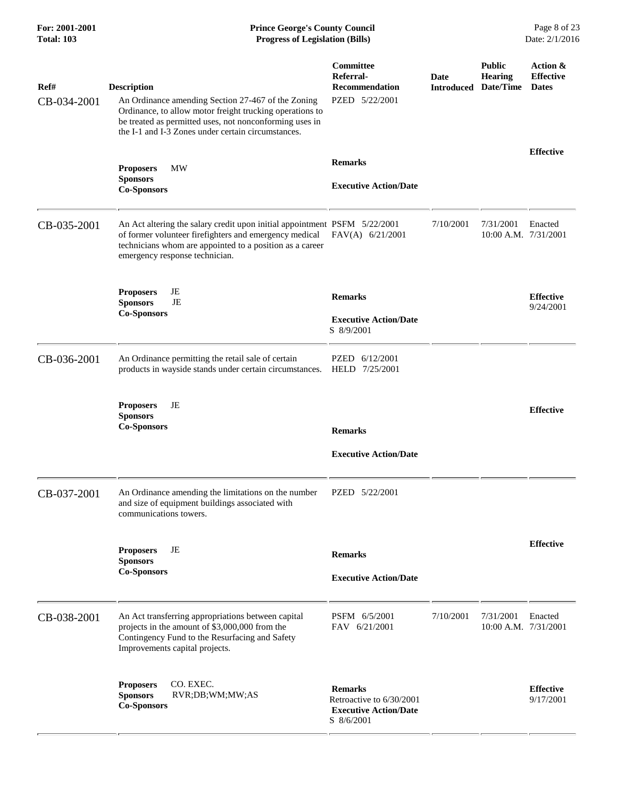| Ref#<br>CB-034-2001 | <b>Description</b><br>An Ordinance amending Section 27-467 of the Zoning<br>Ordinance, to allow motor freight trucking operations to<br>be treated as permitted uses, not nonconforming uses in<br>the I-1 and I-3 Zones under certain circumstances. | Committee<br>Referral-<br><b>Recommendation</b><br>PZED 5/22/2001                        | <b>Date</b><br><b>Introduced</b> | <b>Public</b><br><b>Hearing</b><br>Date/Time | Action &<br><b>Effective</b><br><b>Dates</b> |
|---------------------|-------------------------------------------------------------------------------------------------------------------------------------------------------------------------------------------------------------------------------------------------------|------------------------------------------------------------------------------------------|----------------------------------|----------------------------------------------|----------------------------------------------|
|                     | <b>MW</b><br><b>Proposers</b><br><b>Sponsors</b><br><b>Co-Sponsors</b>                                                                                                                                                                                | <b>Remarks</b><br><b>Executive Action/Date</b>                                           |                                  |                                              | <b>Effective</b>                             |
| CB-035-2001         | An Act altering the salary credit upon initial appointment PSFM 5/22/2001<br>of former volunteer firefighters and emergency medical<br>technicians whom are appointed to a position as a career<br>emergency response technician.                     | $FAV(A)$ 6/21/2001                                                                       | 7/10/2001                        | 7/31/2001<br>$10:00$ A.M. $7/31/2001$        | Enacted                                      |
|                     | JE<br><b>Proposers</b><br><b>Sponsors</b><br>JE<br><b>Co-Sponsors</b>                                                                                                                                                                                 | <b>Remarks</b><br><b>Executive Action/Date</b><br>S 8/9/2001                             |                                  |                                              | <b>Effective</b><br>9/24/2001                |
| CB-036-2001         | An Ordinance permitting the retail sale of certain<br>products in wayside stands under certain circumstances.                                                                                                                                         | PZED 6/12/2001<br>HELD 7/25/2001                                                         |                                  |                                              |                                              |
|                     | <b>Proposers</b><br>JE<br><b>Sponsors</b><br><b>Co-Sponsors</b>                                                                                                                                                                                       | <b>Remarks</b><br><b>Executive Action/Date</b>                                           |                                  |                                              | <b>Effective</b>                             |
| CB-037-2001         | An Ordinance amending the limitations on the number<br>and size of equipment buildings associated with<br>communications towers.                                                                                                                      | PZED 5/22/2001                                                                           |                                  |                                              |                                              |
|                     | <b>Proposers</b><br>JE<br><b>Sponsors</b><br><b>Co-Sponsors</b>                                                                                                                                                                                       | <b>Remarks</b><br><b>Executive Action/Date</b>                                           |                                  |                                              | <b>Effective</b>                             |
| CB-038-2001         | An Act transferring appropriations between capital<br>projects in the amount of \$3,000,000 from the<br>Contingency Fund to the Resurfacing and Safety<br>Improvements capital projects.                                                              | PSFM 6/5/2001<br>FAV 6/21/2001                                                           | 7/10/2001                        | 7/31/2001<br>10:00 A.M. 7/31/2001            | Enacted                                      |
|                     | CO. EXEC.<br><b>Proposers</b><br><b>Sponsors</b><br>RVR;DB;WM;MW;AS<br><b>Co-Sponsors</b>                                                                                                                                                             | <b>Remarks</b><br>Retroactive to 6/30/2001<br><b>Executive Action/Date</b><br>S 8/6/2001 |                                  |                                              | <b>Effective</b><br>9/17/2001                |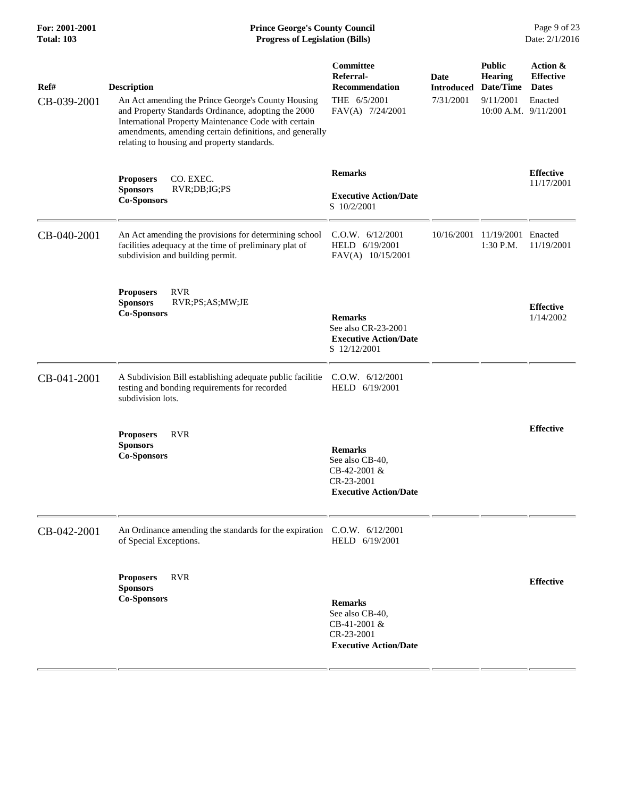#### **For: 2001-2001 Prince George's County Council** Page 9 of 23<br> **Prince George's County Council** Page 9 of 23<br> **Progress of Legislation (Bills)** Date: 2/1/2016 **Total: 103 Progress of Legislation (Bills)**

| Ref#<br>CB-039-2001 | <b>Description</b><br>An Act amending the Prince George's County Housing<br>and Property Standards Ordinance, adopting the 2000<br>International Property Maintenance Code with certain<br>amendments, amending certain definitions, and generally<br>relating to housing and property standards. | Committee<br>Referral-<br><b>Recommendation</b><br>THE 6/5/2001<br>FAV(A) 7/24/2001             | Date<br><b>Introduced</b><br>7/31/2001 | <b>Public</b><br><b>Hearing</b><br>Date/Time<br>9/11/2001<br>10:00 A.M. 9/11/2001 | Action &<br><b>Effective</b><br><b>Dates</b><br>Enacted |
|---------------------|---------------------------------------------------------------------------------------------------------------------------------------------------------------------------------------------------------------------------------------------------------------------------------------------------|-------------------------------------------------------------------------------------------------|----------------------------------------|-----------------------------------------------------------------------------------|---------------------------------------------------------|
|                     | CO. EXEC.<br><b>Proposers</b><br>RVR;DB;IG;PS<br><b>Sponsors</b><br><b>Co-Sponsors</b>                                                                                                                                                                                                            | <b>Remarks</b><br><b>Executive Action/Date</b><br>S 10/2/2001                                   |                                        |                                                                                   | <b>Effective</b><br>11/17/2001                          |
| CB-040-2001         | An Act amending the provisions for determining school<br>facilities adequacy at the time of preliminary plat of<br>subdivision and building permit.                                                                                                                                               | C.O.W. 6/12/2001<br>HELD 6/19/2001<br>FAV(A) 10/15/2001                                         | 10/16/2001                             | 11/19/2001 Enacted<br>1:30 P.M.                                                   | 11/19/2001                                              |
|                     | <b>RVR</b><br><b>Proposers</b><br><b>Sponsors</b><br>RVR;PS;AS;MW;JE<br><b>Co-Sponsors</b>                                                                                                                                                                                                        | <b>Remarks</b><br>See also CR-23-2001<br><b>Executive Action/Date</b><br>S 12/12/2001           |                                        |                                                                                   | <b>Effective</b><br>1/14/2002                           |
| CB-041-2001         | A Subdivision Bill establishing adequate public facilitie<br>testing and bonding requirements for recorded<br>subdivision lots.                                                                                                                                                                   | C.0.W. 6/12/2001<br>HELD 6/19/2001                                                              |                                        |                                                                                   |                                                         |
|                     | <b>RVR</b><br><b>Proposers</b><br><b>Sponsors</b><br><b>Co-Sponsors</b>                                                                                                                                                                                                                           | <b>Remarks</b><br>See also CB-40,<br>CB-42-2001 &<br>CR-23-2001<br><b>Executive Action/Date</b> |                                        |                                                                                   | <b>Effective</b>                                        |
| CB-042-2001         | An Ordinance amending the standards for the expiration C.O.W. 6/12/2001<br>of Special Exceptions.                                                                                                                                                                                                 | HELD 6/19/2001                                                                                  |                                        |                                                                                   |                                                         |
|                     | <b>Proposers</b><br><b>RVR</b><br><b>Sponsors</b><br><b>Co-Sponsors</b>                                                                                                                                                                                                                           | <b>Remarks</b><br>See also CB-40,<br>CB-41-2001 &<br>CR-23-2001<br><b>Executive Action/Date</b> |                                        |                                                                                   | <b>Effective</b>                                        |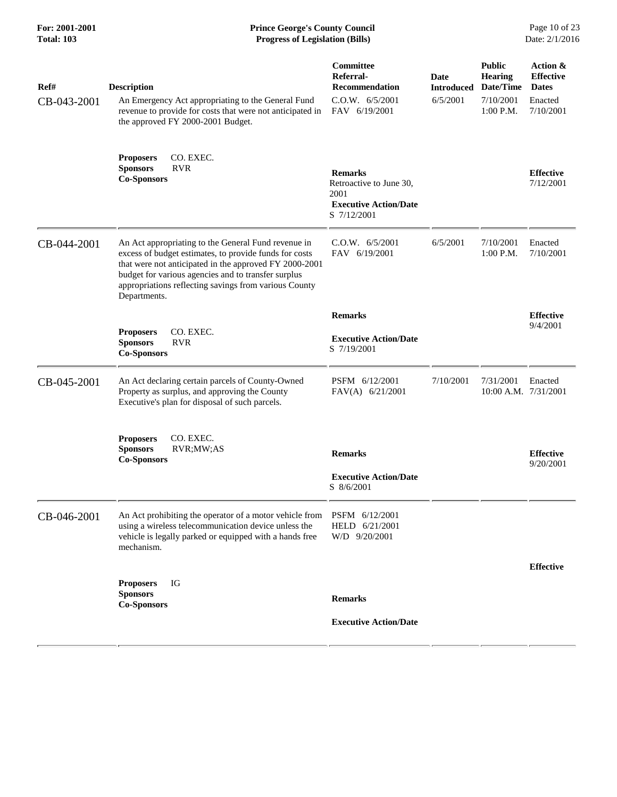#### **For: 2001-2001 Prince George's County Council** Page 10 of 23<br> **Prince George's County Council** Page 10 of 23<br> **Progress of Legislation (Bills)** Date: 2/1/2016 **Total: 103 Progress of Legislation (Bills)**

| Ref#<br>CB-043-2001 | <b>Description</b><br>An Emergency Act appropriating to the General Fund<br>revenue to provide for costs that were not anticipated in<br>the approved FY 2000-2001 Budget.                                                                                                                              | Committee<br>Referral-<br><b>Recommendation</b><br>C.0.W. 6/5/2001<br>FAV 6/19/2001              | Date<br><b>Introduced</b><br>6/5/2001 | <b>Public</b><br><b>Hearing</b><br>Date/Time<br>7/10/2001<br>$1:00$ P.M. | Action &<br><b>Effective</b><br><b>Dates</b><br>Enacted<br>7/10/2001 |
|---------------------|---------------------------------------------------------------------------------------------------------------------------------------------------------------------------------------------------------------------------------------------------------------------------------------------------------|--------------------------------------------------------------------------------------------------|---------------------------------------|--------------------------------------------------------------------------|----------------------------------------------------------------------|
|                     | CO. EXEC.<br><b>Proposers</b><br><b>RVR</b><br><b>Sponsors</b><br><b>Co-Sponsors</b>                                                                                                                                                                                                                    | <b>Remarks</b><br>Retroactive to June 30,<br>2001<br><b>Executive Action/Date</b><br>S 7/12/2001 |                                       |                                                                          | <b>Effective</b><br>7/12/2001                                        |
| CB-044-2001         | An Act appropriating to the General Fund revenue in<br>excess of budget estimates, to provide funds for costs<br>that were not anticipated in the approved FY 2000-2001<br>budget for various agencies and to transfer surplus<br>appropriations reflecting savings from various County<br>Departments. | C.0.W. 6/5/2001<br>FAV 6/19/2001                                                                 | 6/5/2001                              | 7/10/2001<br>1:00 P.M.                                                   | Enacted<br>7/10/2001                                                 |
|                     |                                                                                                                                                                                                                                                                                                         | <b>Remarks</b>                                                                                   |                                       |                                                                          | <b>Effective</b>                                                     |
|                     | CO. EXEC.<br><b>Proposers</b><br><b>RVR</b><br><b>Sponsors</b><br><b>Co-Sponsors</b>                                                                                                                                                                                                                    | <b>Executive Action/Date</b><br>S 7/19/2001                                                      |                                       |                                                                          | 9/4/2001                                                             |
| CB-045-2001         | An Act declaring certain parcels of County-Owned<br>Property as surplus, and approving the County<br>Executive's plan for disposal of such parcels.                                                                                                                                                     | PSFM 6/12/2001<br>FAV(A) $6/21/2001$                                                             | 7/10/2001                             | 7/31/2001<br>$10:00$ A.M. $7/31/2001$                                    | Enacted                                                              |
|                     | <b>Proposers</b><br>CO. EXEC.<br><b>Sponsors</b><br>RVR;MW;AS<br><b>Co-Sponsors</b>                                                                                                                                                                                                                     | <b>Remarks</b><br><b>Executive Action/Date</b>                                                   |                                       |                                                                          | <b>Effective</b><br>9/20/2001                                        |
|                     |                                                                                                                                                                                                                                                                                                         | S 8/6/2001                                                                                       |                                       |                                                                          |                                                                      |
| CB-046-2001         | An Act prohibiting the operator of a motor vehicle from<br>using a wireless telecommunication device unless the<br>vehicle is legally parked or equipped with a hands free<br>mechanism.                                                                                                                | PSFM 6/12/2001<br>HELD 6/21/2001<br>W/D 9/20/2001                                                |                                       |                                                                          |                                                                      |
|                     |                                                                                                                                                                                                                                                                                                         |                                                                                                  |                                       |                                                                          | <b>Effective</b>                                                     |
|                     | <b>Proposers</b><br>IG<br><b>Sponsors</b><br><b>Co-Sponsors</b>                                                                                                                                                                                                                                         | <b>Remarks</b>                                                                                   |                                       |                                                                          |                                                                      |
|                     |                                                                                                                                                                                                                                                                                                         | <b>Executive Action/Date</b>                                                                     |                                       |                                                                          |                                                                      |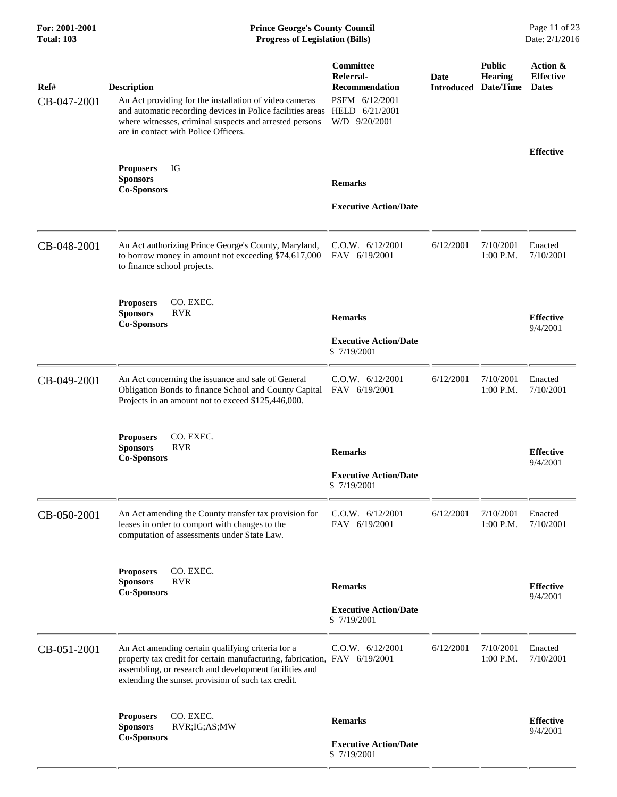| Ref#<br>CB-047-2001 | <b>Description</b><br>An Act providing for the installation of video cameras<br>and automatic recording devices in Police facilities areas<br>where witnesses, criminal suspects and arrested persons<br>are in contact with Police Officers.  | Committee<br>Referral-<br><b>Recommendation</b><br>PSFM 6/12/2001<br>HELD 6/21/2001<br>W/D 9/20/2001 | Date<br><b>Introduced</b> | <b>Public</b><br>Hearing<br>Date/Time | Action &<br><b>Effective</b><br><b>Dates</b> |
|---------------------|------------------------------------------------------------------------------------------------------------------------------------------------------------------------------------------------------------------------------------------------|------------------------------------------------------------------------------------------------------|---------------------------|---------------------------------------|----------------------------------------------|
|                     | IG<br><b>Proposers</b><br><b>Sponsors</b>                                                                                                                                                                                                      |                                                                                                      |                           |                                       | <b>Effective</b>                             |
|                     | <b>Co-Sponsors</b>                                                                                                                                                                                                                             | <b>Remarks</b><br><b>Executive Action/Date</b>                                                       |                           |                                       |                                              |
| CB-048-2001         | An Act authorizing Prince George's County, Maryland,<br>to borrow money in amount not exceeding \$74,617,000<br>to finance school projects.                                                                                                    | C.O.W. 6/12/2001<br>FAV 6/19/2001                                                                    | 6/12/2001                 | 7/10/2001<br>1:00 P.M.                | Enacted<br>7/10/2001                         |
|                     | CO. EXEC.<br><b>Proposers</b><br><b>Sponsors</b><br><b>RVR</b><br><b>Co-Sponsors</b>                                                                                                                                                           | <b>Remarks</b>                                                                                       |                           |                                       | <b>Effective</b><br>9/4/2001                 |
|                     |                                                                                                                                                                                                                                                | <b>Executive Action/Date</b><br>S 7/19/2001                                                          |                           |                                       |                                              |
| CB-049-2001         | An Act concerning the issuance and sale of General<br>Obligation Bonds to finance School and County Capital<br>Projects in an amount not to exceed \$125,446,000.                                                                              | C.O.W. 6/12/2001<br>FAV 6/19/2001                                                                    | 6/12/2001                 | 7/10/2001<br>1:00 P.M.                | Enacted<br>7/10/2001                         |
|                     | CO. EXEC.<br><b>Proposers</b><br><b>Sponsors</b><br><b>RVR</b><br><b>Co-Sponsors</b>                                                                                                                                                           | <b>Remarks</b>                                                                                       |                           |                                       | <b>Effective</b><br>9/4/2001                 |
|                     |                                                                                                                                                                                                                                                | <b>Executive Action/Date</b><br>S 7/19/2001                                                          |                           |                                       |                                              |
| CB-050-2001         | An Act amending the County transfer tax provision for<br>leases in order to comport with changes to the<br>computation of assessments under State Law.                                                                                         | C.O.W. 6/12/2001<br>FAV 6/19/2001                                                                    | 6/12/2001                 | 7/10/2001<br>1:00 P.M.                | Enacted<br>7/10/2001                         |
|                     | CO. EXEC.<br><b>Proposers</b><br><b>Sponsors</b><br><b>RVR</b><br><b>Co-Sponsors</b>                                                                                                                                                           | <b>Remarks</b>                                                                                       |                           |                                       | <b>Effective</b><br>9/4/2001                 |
|                     |                                                                                                                                                                                                                                                | <b>Executive Action/Date</b><br>S 7/19/2001                                                          |                           |                                       |                                              |
| CB-051-2001         | An Act amending certain qualifying criteria for a<br>property tax credit for certain manufacturing, fabrication, FAV 6/19/2001<br>assembling, or research and development facilities and<br>extending the sunset provision of such tax credit. | C.O.W. 6/12/2001                                                                                     | 6/12/2001                 | 7/10/2001<br>1:00 P.M.                | Enacted<br>7/10/2001                         |
|                     | CO. EXEC.<br><b>Proposers</b><br><b>Sponsors</b><br>RVR; IG; AS; MW<br><b>Co-Sponsors</b>                                                                                                                                                      | <b>Remarks</b><br><b>Executive Action/Date</b><br>S 7/19/2001                                        |                           |                                       | <b>Effective</b><br>9/4/2001                 |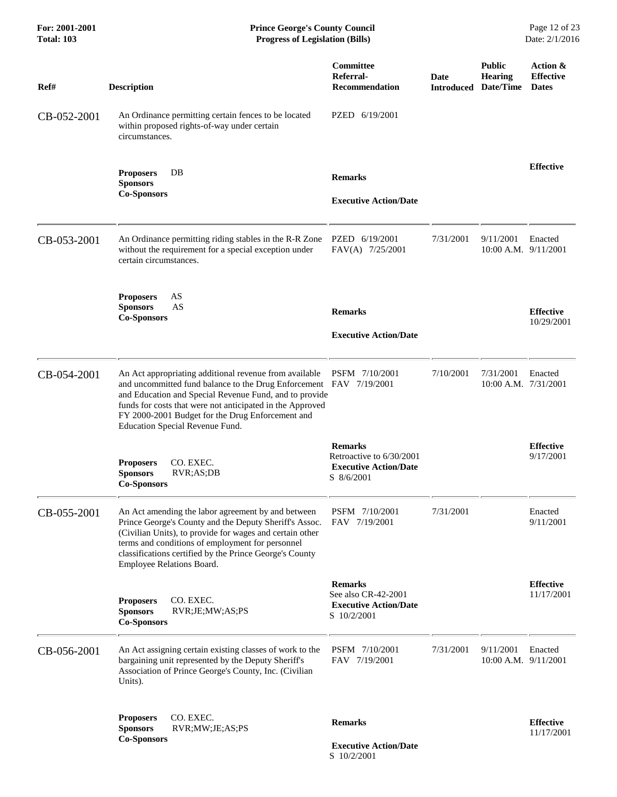| For: 2001-2001<br><b>Total: 103</b> | <b>Prince George's County Council</b><br><b>Progress of Legislation (Bills)</b>                                                                                                                                                                                                                                                            |                                                                                          |                           |                                              | Page 12 of 23<br>Date: 2/1/2016              |
|-------------------------------------|--------------------------------------------------------------------------------------------------------------------------------------------------------------------------------------------------------------------------------------------------------------------------------------------------------------------------------------------|------------------------------------------------------------------------------------------|---------------------------|----------------------------------------------|----------------------------------------------|
| Ref#                                | <b>Description</b>                                                                                                                                                                                                                                                                                                                         | <b>Committee</b><br>Referral-<br><b>Recommendation</b>                                   | Date<br><b>Introduced</b> | <b>Public</b><br><b>Hearing</b><br>Date/Time | Action &<br><b>Effective</b><br><b>Dates</b> |
| CB-052-2001                         | An Ordinance permitting certain fences to be located<br>within proposed rights-of-way under certain<br>circumstances.                                                                                                                                                                                                                      | PZED 6/19/2001                                                                           |                           |                                              |                                              |
|                                     | <b>Proposers</b><br>DB<br><b>Sponsors</b><br><b>Co-Sponsors</b>                                                                                                                                                                                                                                                                            | <b>Remarks</b><br><b>Executive Action/Date</b>                                           |                           |                                              | <b>Effective</b>                             |
| CB-053-2001                         | An Ordinance permitting riding stables in the R-R Zone<br>without the requirement for a special exception under<br>certain circumstances.                                                                                                                                                                                                  | PZED 6/19/2001<br>FAV(A) 7/25/2001                                                       | 7/31/2001                 | 9/11/2001<br>$10:00$ A.M. $9/11/2001$        | Enacted                                      |
|                                     | <b>Proposers</b><br>AS<br>AS<br><b>Sponsors</b><br><b>Co-Sponsors</b>                                                                                                                                                                                                                                                                      | <b>Remarks</b><br><b>Executive Action/Date</b>                                           |                           |                                              | <b>Effective</b><br>10/29/2001               |
| CB-054-2001                         | An Act appropriating additional revenue from available<br>and uncommitted fund balance to the Drug Enforcement FAV 7/19/2001<br>and Education and Special Revenue Fund, and to provide<br>funds for costs that were not anticipated in the Approved<br>FY 2000-2001 Budget for the Drug Enforcement and<br>Education Special Revenue Fund. | PSFM 7/10/2001                                                                           | 7/10/2001                 | 7/31/2001<br>10:00 A.M. 7/31/2001            | Enacted                                      |
|                                     | CO. EXEC.<br><b>Proposers</b><br><b>Sponsors</b><br>RVR; AS; DB<br><b>Co-Sponsors</b>                                                                                                                                                                                                                                                      | <b>Remarks</b><br>Retroactive to 6/30/2001<br><b>Executive Action/Date</b><br>S 8/6/2001 |                           |                                              | <b>Effective</b><br>9/17/2001                |
| CB-055-2001                         | An Act amending the labor agreement by and between<br>Prince George's County and the Deputy Sheriff's Assoc.<br>(Civilian Units), to provide for wages and certain other<br>terms and conditions of employment for personnel<br>classifications certified by the Prince George's County<br>Employee Relations Board.                       | PSFM 7/10/2001<br>FAV 7/19/2001                                                          | 7/31/2001                 |                                              | Enacted<br>9/11/2001                         |
|                                     | CO. EXEC.<br><b>Proposers</b><br><b>Sponsors</b><br>RVR;JE;MW;AS;PS<br><b>Co-Sponsors</b>                                                                                                                                                                                                                                                  | <b>Remarks</b><br>See also CR-42-2001<br><b>Executive Action/Date</b><br>S 10/2/2001     |                           |                                              | <b>Effective</b><br>11/17/2001               |
| CB-056-2001                         | An Act assigning certain existing classes of work to the<br>bargaining unit represented by the Deputy Sheriff's<br>Association of Prince George's County, Inc. (Civilian<br>Units).                                                                                                                                                        | PSFM 7/10/2001<br>FAV 7/19/2001                                                          | 7/31/2001                 | 9/11/2001<br>10:00 A.M. 9/11/2001            | Enacted                                      |
|                                     | CO. EXEC.<br><b>Proposers</b><br><b>Sponsors</b><br>RVR;MW;JE;AS;PS<br><b>Co-Sponsors</b>                                                                                                                                                                                                                                                  | <b>Remarks</b><br><b>Executive Action/Date</b><br>S 10/2/2001                            |                           |                                              | <b>Effective</b><br>11/17/2001               |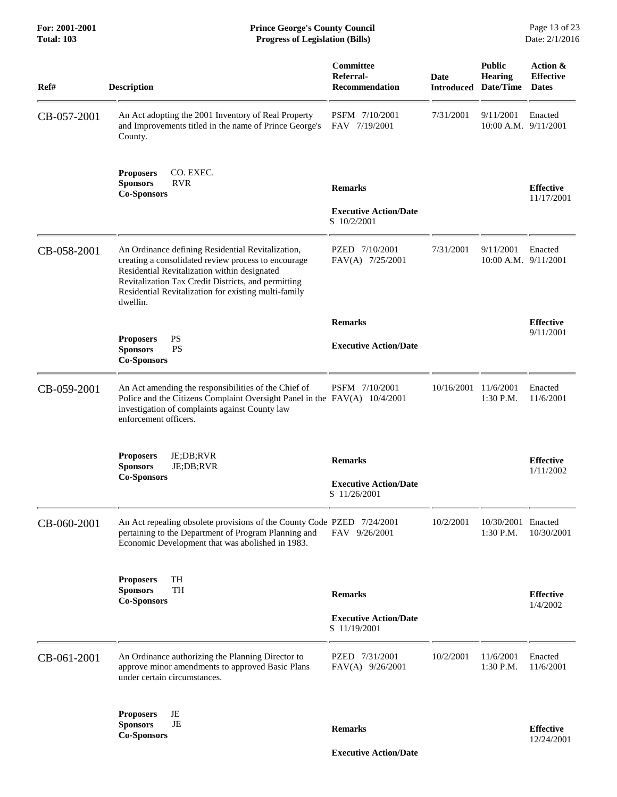| Ref#        | <b>Description</b>                                                                                                                                                                                                                                                                  | Committee<br>Referral-<br><b>Recommendation</b>                | Date<br><b>Introduced</b> | <b>Public</b><br><b>Hearing</b><br>Date/Time | Action &<br><b>Effective</b><br><b>Dates</b> |
|-------------|-------------------------------------------------------------------------------------------------------------------------------------------------------------------------------------------------------------------------------------------------------------------------------------|----------------------------------------------------------------|---------------------------|----------------------------------------------|----------------------------------------------|
| CB-057-2001 | An Act adopting the 2001 Inventory of Real Property<br>and Improvements titled in the name of Prince George's<br>County.                                                                                                                                                            | PSFM 7/10/2001<br>FAV 7/19/2001                                | 7/31/2001                 | 9/11/2001<br>10:00 A.M. 9/11/2001            | Enacted                                      |
|             | <b>Proposers</b><br>CO. EXEC.<br><b>Sponsors</b><br><b>RVR</b><br><b>Co-Sponsors</b>                                                                                                                                                                                                | <b>Remarks</b><br><b>Executive Action/Date</b><br>S 10/2/2001  |                           |                                              | <b>Effective</b><br>11/17/2001               |
| CB-058-2001 | An Ordinance defining Residential Revitalization,<br>creating a consolidated review process to encourage<br>Residential Revitalization within designated<br>Revitalization Tax Credit Districts, and permitting<br>Residential Revitalization for existing multi-family<br>dwellin. | PZED 7/10/2001<br>FAV(A) 7/25/2001                             | 7/31/2001                 | 9/11/2001<br>$10:00$ A.M. $9/11/2001$        | Enacted                                      |
|             |                                                                                                                                                                                                                                                                                     | <b>Remarks</b>                                                 |                           |                                              | <b>Effective</b>                             |
|             | PS<br><b>Proposers</b><br><b>Sponsors</b><br><b>PS</b><br><b>Co-Sponsors</b>                                                                                                                                                                                                        | <b>Executive Action/Date</b>                                   |                           |                                              | 9/11/2001                                    |
| CB-059-2001 | An Act amending the responsibilities of the Chief of<br>Police and the Citizens Complaint Oversight Panel in the FAV(A) 10/4/2001<br>investigation of complaints against County law<br>enforcement officers.                                                                        | PSFM 7/10/2001                                                 | 10/16/2001 11/6/2001      | $1:30$ P.M.                                  | Enacted<br>11/6/2001                         |
|             | JE;DB;RVR<br><b>Proposers</b><br><b>Sponsors</b><br>JE;DB;RVR<br><b>Co-Sponsors</b>                                                                                                                                                                                                 | <b>Remarks</b><br><b>Executive Action/Date</b><br>S 11/26/2001 |                           |                                              | <b>Effective</b><br>1/11/2002                |
| CB-060-2001 | An Act repealing obsolete provisions of the County Code PZED 7/24/2001<br>pertaining to the Department of Program Planning and<br>Economic Development that was abolished in 1983.                                                                                                  | FAV 9/26/2001                                                  | 10/2/2001                 | 10/30/2001 Enacted<br>1:30 P.M.              | 10/30/2001                                   |
|             | TH<br><b>Proposers</b><br><b>TH</b><br><b>Sponsors</b><br><b>Co-Sponsors</b>                                                                                                                                                                                                        | <b>Remarks</b><br><b>Executive Action/Date</b><br>S 11/19/2001 |                           |                                              | <b>Effective</b><br>1/4/2002                 |
| CB-061-2001 | An Ordinance authorizing the Planning Director to<br>approve minor amendments to approved Basic Plans<br>under certain circumstances.                                                                                                                                               | PZED 7/31/2001<br>FAV(A) 9/26/2001                             | 10/2/2001                 | 11/6/2001<br>1:30 P.M.                       | Enacted<br>11/6/2001                         |
|             | <b>Proposers</b><br>JE<br>JE<br><b>Sponsors</b><br><b>Co-Sponsors</b>                                                                                                                                                                                                               | <b>Remarks</b>                                                 |                           |                                              | <b>Effective</b><br>12/24/2001               |

 **Executive Action/Date**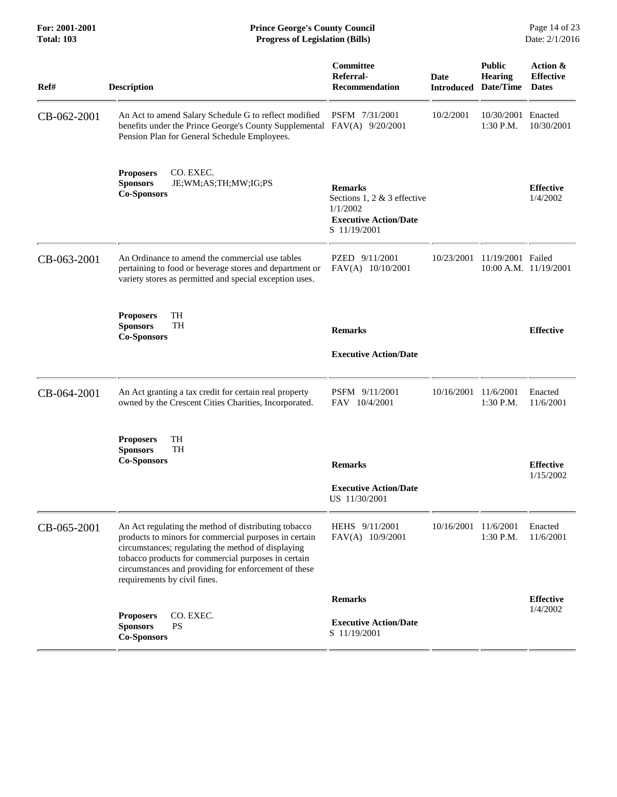| For: 2001-2001<br><b>Total: 103</b> | <b>Prince George's County Council</b><br><b>Progress of Legislation (Bills)</b>                                                                                                                                                                                                                                    |                                                                                                             |                           |                                       | Page 14 of 23<br>Date: 2/1/2016              |
|-------------------------------------|--------------------------------------------------------------------------------------------------------------------------------------------------------------------------------------------------------------------------------------------------------------------------------------------------------------------|-------------------------------------------------------------------------------------------------------------|---------------------------|---------------------------------------|----------------------------------------------|
| Ref#                                | <b>Description</b>                                                                                                                                                                                                                                                                                                 | <b>Committee</b><br>Referral-<br><b>Recommendation</b>                                                      | Date<br><b>Introduced</b> | <b>Public</b><br>Hearing<br>Date/Time | Action &<br><b>Effective</b><br><b>Dates</b> |
| CB-062-2001                         | An Act to amend Salary Schedule G to reflect modified<br>benefits under the Prince George's County Supplemental FAV(A) 9/20/2001<br>Pension Plan for General Schedule Employees.                                                                                                                                   | PSFM 7/31/2001                                                                                              | 10/2/2001                 | 10/30/2001<br>$1:30$ P.M.             | Enacted<br>10/30/2001                        |
|                                     | <b>Proposers</b><br>CO. EXEC.<br><b>Sponsors</b><br>JE;WM;AS;TH;MW;IG;PS<br><b>Co-Sponsors</b>                                                                                                                                                                                                                     | <b>Remarks</b><br>Sections 1, 2 $&$ 3 effective<br>1/1/2002<br><b>Executive Action/Date</b><br>S 11/19/2001 |                           |                                       | <b>Effective</b><br>1/4/2002                 |
| CB-063-2001                         | An Ordinance to amend the commercial use tables<br>pertaining to food or beverage stores and department or<br>variety stores as permitted and special exception uses.                                                                                                                                              | PZED 9/11/2001<br>FAV(A) 10/10/2001                                                                         | 10/23/2001                | 11/19/2001 Failed                     | 10:00 A.M. 11/19/2001                        |
|                                     | TH<br><b>Proposers</b><br>TH<br><b>Sponsors</b><br><b>Co-Sponsors</b>                                                                                                                                                                                                                                              | <b>Remarks</b><br><b>Executive Action/Date</b>                                                              |                           |                                       | <b>Effective</b>                             |
| CB-064-2001                         | An Act granting a tax credit for certain real property<br>owned by the Crescent Cities Charities, Incorporated.                                                                                                                                                                                                    | PSFM 9/11/2001<br>FAV 10/4/2001                                                                             | 10/16/2001                | 11/6/2001<br>$1:30$ P.M.              | Enacted<br>11/6/2001                         |
|                                     | TH<br><b>Proposers</b><br>TH<br><b>Sponsors</b><br><b>Co-Sponsors</b>                                                                                                                                                                                                                                              | <b>Remarks</b><br><b>Executive Action/Date</b><br>US 11/30/2001                                             |                           |                                       | <b>Effective</b><br>1/15/2002                |
| CB-065-2001                         | An Act regulating the method of distributing tobacco<br>products to minors for commercial purposes in certain<br>circumstances; regulating the method of displaying<br>tobacco products for commercial purposes in certain<br>circumstances and providing for enforcement of these<br>requirements by civil fines. | HEHS 9/11/2001<br>FAV(A) 10/9/2001                                                                          | 10/16/2001                | 11/6/2001<br>$1:30$ P.M.              | Enacted<br>11/6/2001                         |
|                                     | CO. EXEC.<br><b>Proposers</b><br><b>Sponsors</b><br><b>PS</b><br><b>Co-Sponsors</b>                                                                                                                                                                                                                                | <b>Remarks</b><br><b>Executive Action/Date</b><br>S 11/19/2001                                              |                           |                                       | <b>Effective</b><br>1/4/2002                 |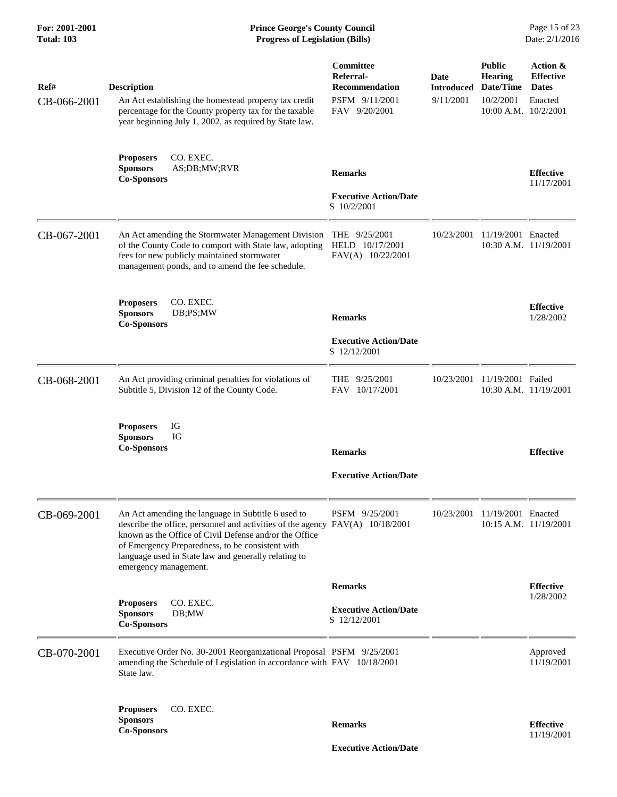| Ref#<br>CB-066-2001 | <b>Description</b><br>An Act establishing the homestead property tax credit<br>percentage for the County property tax for the taxable<br>year beginning July 1, 2002, as required by State law.                                                                                                                                    | Committee<br>Referral-<br><b>Recommendation</b><br>PSFM 9/11/2001<br>FAV 9/20/2001 | Date<br>Introduced<br>9/11/2001 | <b>Public</b><br><b>Hearing</b><br>Date/Time<br>10/2/2001<br>10:00 A.M. 10/2/2001 | Action &<br><b>Effective</b><br><b>Dates</b><br>Enacted |
|---------------------|------------------------------------------------------------------------------------------------------------------------------------------------------------------------------------------------------------------------------------------------------------------------------------------------------------------------------------|------------------------------------------------------------------------------------|---------------------------------|-----------------------------------------------------------------------------------|---------------------------------------------------------|
|                     | CO. EXEC.<br><b>Proposers</b><br><b>Sponsors</b><br>AS;DB;MW;RVR<br><b>Co-Sponsors</b>                                                                                                                                                                                                                                             | <b>Remarks</b><br><b>Executive Action/Date</b><br>S 10/2/2001                      |                                 |                                                                                   | <b>Effective</b><br>11/17/2001                          |
| CB-067-2001         | An Act amending the Stormwater Management Division<br>of the County Code to comport with State law, adopting<br>fees for new publicly maintained stormwater<br>management ponds, and to amend the fee schedule.                                                                                                                    | THE $9/25/2001$<br>HELD 10/17/2001<br>FAV(A) 10/22/2001                            | 10/23/2001                      | 11/19/2001 Enacted                                                                | 10:30 A.M. 11/19/2001                                   |
|                     | <b>Proposers</b><br>CO. EXEC.<br><b>Sponsors</b><br>DB;PS;MW<br><b>Co-Sponsors</b>                                                                                                                                                                                                                                                 | <b>Remarks</b><br><b>Executive Action/Date</b>                                     |                                 |                                                                                   | <b>Effective</b><br>1/28/2002                           |
|                     |                                                                                                                                                                                                                                                                                                                                    | S 12/12/2001                                                                       |                                 |                                                                                   |                                                         |
| CB-068-2001         | An Act providing criminal penalties for violations of<br>Subtitle 5, Division 12 of the County Code.                                                                                                                                                                                                                               | THE 9/25/2001<br>FAV 10/17/2001                                                    | 10/23/2001                      | 11/19/2001 Failed                                                                 | 10:30 A.M. 11/19/2001                                   |
|                     | IG<br><b>Proposers</b><br><b>Sponsors</b><br>IG<br><b>Co-Sponsors</b>                                                                                                                                                                                                                                                              | <b>Remarks</b>                                                                     |                                 |                                                                                   | <b>Effective</b>                                        |
|                     |                                                                                                                                                                                                                                                                                                                                    | <b>Executive Action/Date</b>                                                       |                                 |                                                                                   |                                                         |
| CB-069-2001         | An Act amending the language in Subtitle 6 used to<br>describe the office, personnel and activities of the agency FAV(A) 10/18/2001<br>known as the Office of Civil Defense and/or the Office<br>of Emergency Preparedness, to be consistent with<br>language used in State law and generally relating to<br>emergency management. | PSFM 9/25/2001                                                                     |                                 | 10/23/2001 11/19/2001 Enacted                                                     | $10:15$ A.M. $11/19/2001$                               |
|                     |                                                                                                                                                                                                                                                                                                                                    | <b>Remarks</b>                                                                     |                                 |                                                                                   | <b>Effective</b>                                        |
|                     | CO. EXEC.<br><b>Proposers</b><br><b>Sponsors</b><br>DB;MW<br><b>Co-Sponsors</b>                                                                                                                                                                                                                                                    | <b>Executive Action/Date</b><br>S 12/12/2001                                       |                                 |                                                                                   | 1/28/2002                                               |
| CB-070-2001         | Executive Order No. 30-2001 Reorganizational Proposal PSFM 9/25/2001<br>amending the Schedule of Legislation in accordance with FAV 10/18/2001<br>State law.                                                                                                                                                                       |                                                                                    |                                 |                                                                                   | Approved<br>11/19/2001                                  |
|                     | CO. EXEC.<br><b>Proposers</b><br><b>Sponsors</b><br><b>Co-Sponsors</b>                                                                                                                                                                                                                                                             | <b>Remarks</b>                                                                     |                                 |                                                                                   | <b>Effective</b><br>11/19/2001                          |
|                     |                                                                                                                                                                                                                                                                                                                                    | <b>Executive Action/Date</b>                                                       |                                 |                                                                                   |                                                         |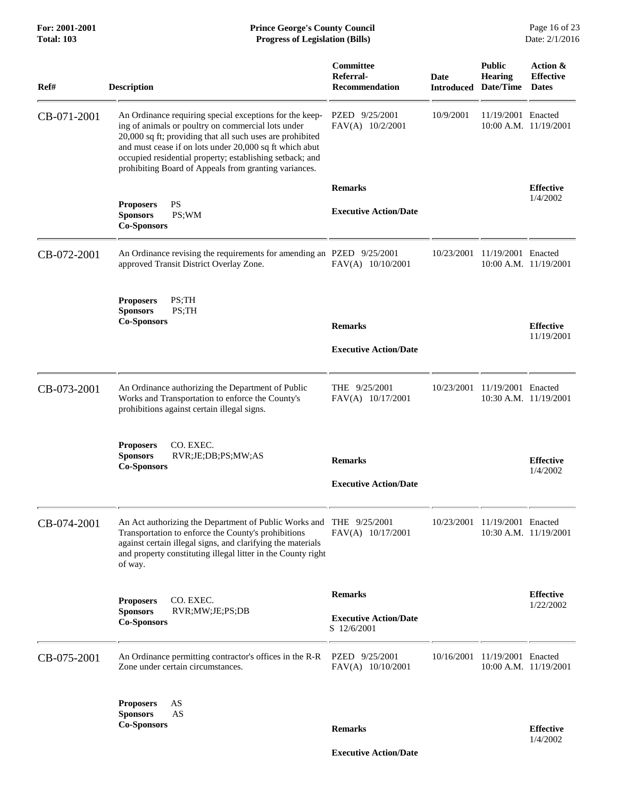| Ref#        | <b>Description</b>                                                                                                                                                                                                                                                                                                                                         | Committee<br>Referral-<br><b>Recommendation</b> | Date<br><b>Introduced</b> | <b>Public</b><br><b>Hearing</b><br>Date/Time | Action &<br><b>Effective</b><br><b>Dates</b> |
|-------------|------------------------------------------------------------------------------------------------------------------------------------------------------------------------------------------------------------------------------------------------------------------------------------------------------------------------------------------------------------|-------------------------------------------------|---------------------------|----------------------------------------------|----------------------------------------------|
| CB-071-2001 | An Ordinance requiring special exceptions for the keep-<br>ing of animals or poultry on commercial lots under<br>20,000 sq ft; providing that all such uses are prohibited<br>and must cease if on lots under 20,000 sq ft which abut<br>occupied residential property; establishing setback; and<br>prohibiting Board of Appeals from granting variances. | PZED 9/25/2001<br>FAV(A) 10/2/2001              | 10/9/2001                 | 11/19/2001 Enacted                           | 10:00 A.M. 11/19/2001                        |
|             |                                                                                                                                                                                                                                                                                                                                                            | <b>Remarks</b>                                  |                           |                                              | <b>Effective</b>                             |
|             | PS<br><b>Proposers</b><br><b>Sponsors</b><br>PS;WM<br><b>Co-Sponsors</b>                                                                                                                                                                                                                                                                                   | <b>Executive Action/Date</b>                    |                           |                                              | 1/4/2002                                     |
| CB-072-2001 | An Ordinance revising the requirements for amending an PZED 9/25/2001<br>approved Transit District Overlay Zone.                                                                                                                                                                                                                                           | FAV(A) 10/10/2001                               |                           | 10/23/2001 11/19/2001 Enacted                | 10:00 A.M. 11/19/2001                        |
|             | PS;TH<br><b>Proposers</b><br><b>Sponsors</b><br>PS;TH<br><b>Co-Sponsors</b>                                                                                                                                                                                                                                                                                | <b>Remarks</b><br><b>Executive Action/Date</b>  |                           |                                              | <b>Effective</b><br>11/19/2001               |
| CB-073-2001 | An Ordinance authorizing the Department of Public<br>Works and Transportation to enforce the County's<br>prohibitions against certain illegal signs.                                                                                                                                                                                                       | THE 9/25/2001<br>FAV(A) 10/17/2001              |                           | 10/23/2001 11/19/2001 Enacted                | 10:30 A.M. 11/19/2001                        |
|             | CO. EXEC.<br><b>Proposers</b><br><b>Sponsors</b><br>RVR;JE;DB;PS;MW;AS<br><b>Co-Sponsors</b>                                                                                                                                                                                                                                                               | <b>Remarks</b><br><b>Executive Action/Date</b>  |                           |                                              | <b>Effective</b><br>1/4/2002                 |
|             |                                                                                                                                                                                                                                                                                                                                                            |                                                 |                           |                                              |                                              |
| CB-074-2001 | An Act authorizing the Department of Public Works and<br>Transportation to enforce the County's prohibitions<br>against certain illegal signs, and clarifying the materials<br>and property constituting illegal litter in the County right<br>of way.                                                                                                     | THE $9/25/2001$<br>FAV(A) 10/17/2001            | 10/23/2001                | 11/19/2001 Enacted                           | 10:30 A.M. 11/19/2001                        |
|             |                                                                                                                                                                                                                                                                                                                                                            | <b>Remarks</b>                                  |                           |                                              | <b>Effective</b>                             |
|             | CO. EXEC.<br><b>Proposers</b><br><b>Sponsors</b><br>RVR;MW;JE;PS;DB<br><b>Co-Sponsors</b>                                                                                                                                                                                                                                                                  | <b>Executive Action/Date</b><br>S 12/6/2001     |                           |                                              | 1/22/2002                                    |
| CB-075-2001 | An Ordinance permitting contractor's offices in the R-R<br>Zone under certain circumstances.                                                                                                                                                                                                                                                               | PZED 9/25/2001<br>FAV(A) 10/10/2001             |                           | 10/16/2001 11/19/2001 Enacted                | $10:00$ A.M. $11/19/2001$                    |
|             | AS<br><b>Proposers</b><br><b>Sponsors</b><br>AS<br><b>Co-Sponsors</b>                                                                                                                                                                                                                                                                                      | <b>Remarks</b>                                  |                           |                                              | <b>Effective</b><br>1/4/2002                 |

 **Executive Action/Date**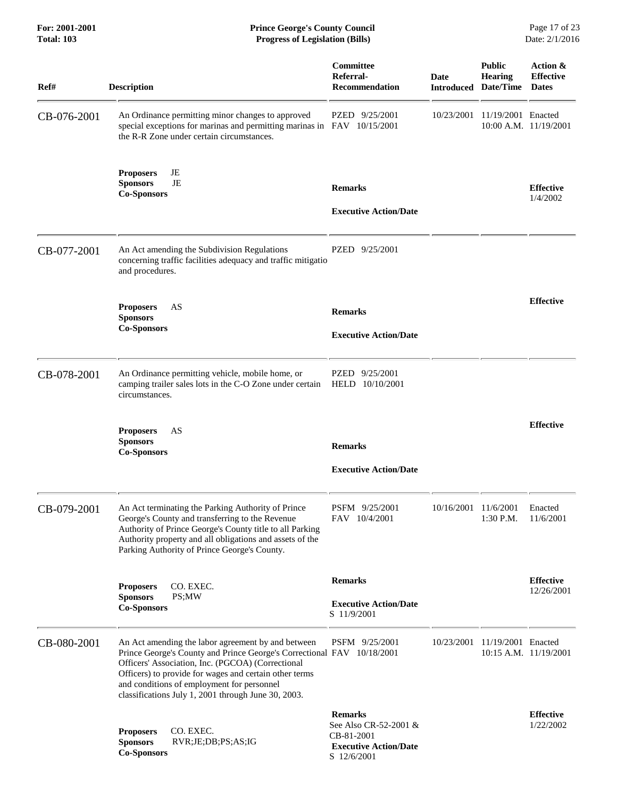| <b>Total: 103</b> | <b>Progress of Legislation (Bills)</b>                                                                                                                                                                                                                                                                                                           |                                                                                                      |                      |                                                                | Date: 2/1/2016                               |
|-------------------|--------------------------------------------------------------------------------------------------------------------------------------------------------------------------------------------------------------------------------------------------------------------------------------------------------------------------------------------------|------------------------------------------------------------------------------------------------------|----------------------|----------------------------------------------------------------|----------------------------------------------|
| Ref#              | <b>Description</b>                                                                                                                                                                                                                                                                                                                               | Committee<br>Referral-<br><b>Recommendation</b>                                                      | <b>Date</b>          | <b>Public</b><br><b>Hearing</b><br><b>Introduced Date/Time</b> | Action &<br><b>Effective</b><br><b>Dates</b> |
| CB-076-2001       | An Ordinance permitting minor changes to approved<br>special exceptions for marinas and permitting marinas in FAV 10/15/2001<br>the R-R Zone under certain circumstances.                                                                                                                                                                        | PZED 9/25/2001                                                                                       |                      | 10/23/2001 11/19/2001 Enacted                                  | 10:00 A.M. 11/19/2001                        |
|                   | JE<br><b>Proposers</b><br>JE<br><b>Sponsors</b><br><b>Co-Sponsors</b>                                                                                                                                                                                                                                                                            | <b>Remarks</b><br><b>Executive Action/Date</b>                                                       |                      |                                                                | <b>Effective</b><br>1/4/2002                 |
| CB-077-2001       | An Act amending the Subdivision Regulations<br>concerning traffic facilities adequacy and traffic mitigatio<br>and procedures.                                                                                                                                                                                                                   | PZED 9/25/2001                                                                                       |                      |                                                                |                                              |
|                   | AS<br><b>Proposers</b><br><b>Sponsors</b><br><b>Co-Sponsors</b>                                                                                                                                                                                                                                                                                  | <b>Remarks</b><br><b>Executive Action/Date</b>                                                       |                      |                                                                | <b>Effective</b>                             |
| CB-078-2001       | An Ordinance permitting vehicle, mobile home, or<br>camping trailer sales lots in the C-O Zone under certain<br>circumstances.                                                                                                                                                                                                                   | PZED 9/25/2001<br>HELD 10/10/2001                                                                    |                      |                                                                |                                              |
|                   | AS<br><b>Proposers</b><br><b>Sponsors</b><br><b>Co-Sponsors</b>                                                                                                                                                                                                                                                                                  | <b>Remarks</b><br><b>Executive Action/Date</b>                                                       |                      |                                                                | <b>Effective</b>                             |
| CB-079-2001       | An Act terminating the Parking Authority of Prince<br>George's County and transferring to the Revenue<br>Authority of Prince George's County title to all Parking<br>Authority property and all obligations and assets of the<br>Parking Authority of Prince George's County.                                                                    | PSFM 9/25/2001<br>FAV 10/4/2001                                                                      | 10/16/2001 11/6/2001 | 1:30 P.M.                                                      | Enacted<br>11/6/2001                         |
|                   | CO. EXEC.<br><b>Proposers</b><br><b>Sponsors</b><br>PS;MW<br><b>Co-Sponsors</b>                                                                                                                                                                                                                                                                  | <b>Remarks</b><br><b>Executive Action/Date</b><br>S 11/9/2001                                        |                      |                                                                | <b>Effective</b><br>12/26/2001               |
| CB-080-2001       | An Act amending the labor agreement by and between<br>Prince George's County and Prince George's Correctional FAV 10/18/2001<br>Officers' Association, Inc. (PGCOA) (Correctional<br>Officers) to provide for wages and certain other terms<br>and conditions of employment for personnel<br>classifications July 1, 2001 through June 30, 2003. | PSFM 9/25/2001                                                                                       | 10/23/2001           | 11/19/2001 Enacted                                             | 10:15 A.M. 11/19/2001                        |
|                   | CO. EXEC.<br><b>Proposers</b><br><b>Sponsors</b><br>RVR;JE;DB;PS;AS;IG<br><b>Co-Sponsors</b>                                                                                                                                                                                                                                                     | <b>Remarks</b><br>See Also CR-52-2001 &<br>CB-81-2001<br><b>Executive Action/Date</b><br>S 12/6/2001 |                      |                                                                | <b>Effective</b><br>1/22/2002                |

**For: 2001-2001 Prince George's County Council** Page 17 of 23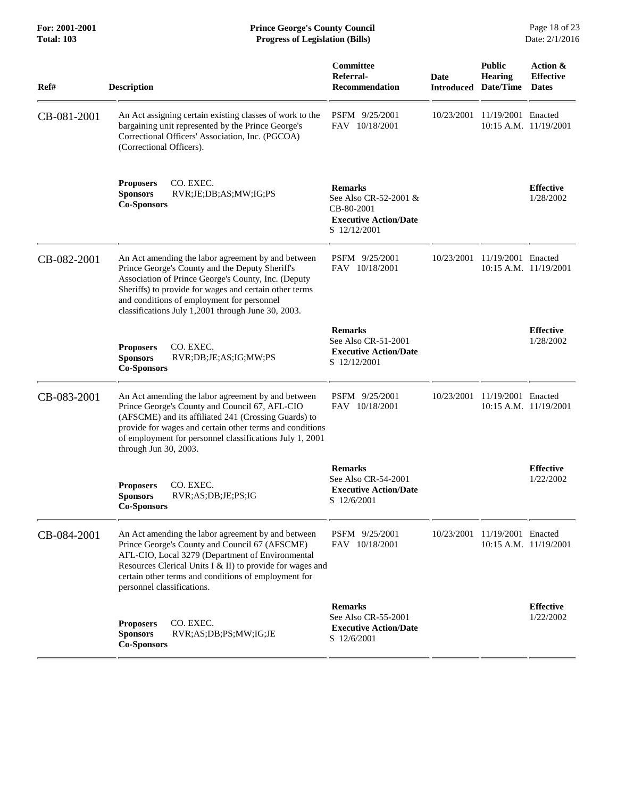**For: 2001-2001 Prince George's County Council** Page 18 of 23<br> **Prince George's County Council** Page 18 of 23<br> **Progress of Legislation (Bills)** Date: 2/1/2016 **Total: 103 Progress of Legislation (Bills)** 

| Ref#        | <b>Description</b>                                                                                                                                                                                                                                                                                                         | Committee<br>Referral-<br><b>Recommendation</b>                                                       | Date<br>Introduced | <b>Public</b><br><b>Hearing</b><br>Date/Time | Action &<br><b>Effective</b><br><b>Dates</b> |
|-------------|----------------------------------------------------------------------------------------------------------------------------------------------------------------------------------------------------------------------------------------------------------------------------------------------------------------------------|-------------------------------------------------------------------------------------------------------|--------------------|----------------------------------------------|----------------------------------------------|
| CB-081-2001 | An Act assigning certain existing classes of work to the<br>bargaining unit represented by the Prince George's<br>Correctional Officers' Association, Inc. (PGCOA)<br>(Correctional Officers).                                                                                                                             | PSFM 9/25/2001<br>FAV 10/18/2001                                                                      | 10/23/2001         | 11/19/2001 Enacted                           | 10:15 A.M. 11/19/2001                        |
|             | CO. EXEC.<br><b>Proposers</b><br><b>Sponsors</b><br>RVR;JE;DB;AS;MW;IG;PS<br><b>Co-Sponsors</b>                                                                                                                                                                                                                            | <b>Remarks</b><br>See Also CR-52-2001 &<br>CB-80-2001<br><b>Executive Action/Date</b><br>S 12/12/2001 |                    |                                              | <b>Effective</b><br>1/28/2002                |
| CB-082-2001 | An Act amending the labor agreement by and between<br>Prince George's County and the Deputy Sheriff's<br>Association of Prince George's County, Inc. (Deputy<br>Sheriffs) to provide for wages and certain other terms<br>and conditions of employment for personnel<br>classifications July 1,2001 through June 30, 2003. | PSFM 9/25/2001<br>FAV 10/18/2001                                                                      | 10/23/2001         | 11/19/2001 Enacted                           | 10:15 A.M. 11/19/2001                        |
|             | CO. EXEC.<br><b>Proposers</b><br><b>Sponsors</b><br>RVR;DB;JE;AS;IG;MW;PS<br><b>Co-Sponsors</b>                                                                                                                                                                                                                            | <b>Remarks</b><br>See Also CR-51-2001<br><b>Executive Action/Date</b><br>S 12/12/2001                 |                    |                                              | <b>Effective</b><br>1/28/2002                |
| CB-083-2001 | An Act amending the labor agreement by and between<br>Prince George's County and Council 67, AFL-CIO<br>(AFSCME) and its affiliated 241 (Crossing Guards) to<br>provide for wages and certain other terms and conditions<br>of employment for personnel classifications July 1, 2001<br>through Jun 30, 2003.              | PSFM 9/25/2001<br>FAV 10/18/2001                                                                      | 10/23/2001         | 11/19/2001 Enacted                           | 10:15 A.M. 11/19/2001                        |
|             | CO. EXEC.<br><b>Proposers</b><br>RVR;AS;DB;JE;PS;IG<br><b>Sponsors</b><br><b>Co-Sponsors</b>                                                                                                                                                                                                                               | <b>Remarks</b><br>See Also CR-54-2001<br><b>Executive Action/Date</b><br>S 12/6/2001                  |                    |                                              | <b>Effective</b><br>1/22/2002                |
| CB-084-2001 | An Act amending the labor agreement by and between<br>Prince George's County and Council 67 (AFSCME)<br>AFL-CIO, Local 3279 (Department of Environmental<br>Resources Clerical Units I & II) to provide for wages and<br>certain other terms and conditions of employment for<br>personnel classifications.                | PSFM 9/25/2001<br>FAV 10/18/2001                                                                      | 10/23/2001         | 11/19/2001 Enacted                           | 10:15 A.M. 11/19/2001                        |
|             | CO. EXEC.<br><b>Proposers</b><br><b>Sponsors</b><br>RVR;AS;DB;PS;MW;IG;JE<br><b>Co-Sponsors</b>                                                                                                                                                                                                                            | <b>Remarks</b><br>See Also CR-55-2001<br><b>Executive Action/Date</b><br>S 12/6/2001                  |                    |                                              | <b>Effective</b><br>1/22/2002                |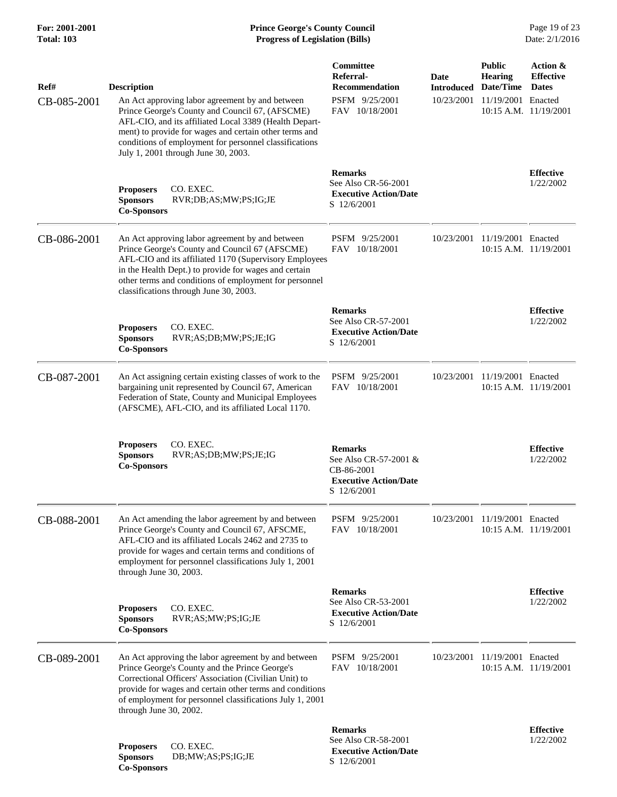## **For: 2001-2001 Prince George's County Council** Page 19 of 23<br> **Prince George's County Council** Page 19 of 23<br> **Progress of Legislation (Bills)** Date: 2/1/2016 **Total: 103 Progress of Legislation (Bills)**

| Ref#<br>CB-085-2001 | <b>Description</b><br>An Act approving labor agreement by and between<br>Prince George's County and Council 67, (AFSCME)<br>AFL-CIO, and its affiliated Local 3389 (Health Depart-<br>ment) to provide for wages and certain other terms and<br>conditions of employment for personnel classifications<br>July 1, 2001 through June 30, 2003. | Committee<br>Referral-<br><b>Recommendation</b><br>PSFM 9/25/2001<br>FAV 10/18/2001                  | Date       | <b>Public</b><br><b>Hearing</b><br><b>Introduced Date/Time</b><br>10/23/2001 11/19/2001 Enacted | Action &<br><b>Effective</b><br><b>Dates</b><br>$10:15$ A.M. $11/19/2001$ |
|---------------------|-----------------------------------------------------------------------------------------------------------------------------------------------------------------------------------------------------------------------------------------------------------------------------------------------------------------------------------------------|------------------------------------------------------------------------------------------------------|------------|-------------------------------------------------------------------------------------------------|---------------------------------------------------------------------------|
|                     | CO. EXEC.<br><b>Proposers</b><br><b>Sponsors</b><br>RVR;DB;AS;MW;PS;IG;JE<br><b>Co-Sponsors</b>                                                                                                                                                                                                                                               | <b>Remarks</b><br>See Also CR-56-2001<br><b>Executive Action/Date</b><br>S 12/6/2001                 |            |                                                                                                 | <b>Effective</b><br>1/22/2002                                             |
| CB-086-2001         | An Act approving labor agreement by and between<br>Prince George's County and Council 67 (AFSCME)<br>AFL-CIO and its affiliated 1170 (Supervisory Employees<br>in the Health Dept.) to provide for wages and certain<br>other terms and conditions of employment for personnel<br>classifications through June 30, 2003.                      | PSFM 9/25/2001<br>FAV 10/18/2001                                                                     | 10/23/2001 | 11/19/2001 Enacted                                                                              | 10:15 A.M. 11/19/2001                                                     |
|                     | <b>Proposers</b><br>CO. EXEC.<br><b>Sponsors</b><br>RVR;AS;DB;MW;PS;JE;IG<br><b>Co-Sponsors</b>                                                                                                                                                                                                                                               | <b>Remarks</b><br>See Also CR-57-2001<br><b>Executive Action/Date</b><br>S 12/6/2001                 |            |                                                                                                 | <b>Effective</b><br>1/22/2002                                             |
| CB-087-2001         | An Act assigning certain existing classes of work to the<br>bargaining unit represented by Council 67, American<br>Federation of State, County and Municipal Employees<br>(AFSCME), AFL-CIO, and its affiliated Local 1170.                                                                                                                   | PSFM 9/25/2001<br>FAV 10/18/2001                                                                     |            | 10/23/2001 11/19/2001 Enacted                                                                   | 10:15 A.M. 11/19/2001                                                     |
|                     | CO. EXEC.<br><b>Proposers</b><br><b>Sponsors</b><br>RVR;AS;DB;MW;PS;JE;IG<br><b>Co-Sponsors</b>                                                                                                                                                                                                                                               | <b>Remarks</b><br>See Also CR-57-2001 &<br>CB-86-2001<br><b>Executive Action/Date</b><br>S 12/6/2001 |            |                                                                                                 | <b>Effective</b><br>1/22/2002                                             |
| CB-088-2001         | An Act amending the labor agreement by and between<br>Prince George's County and Council 67, AFSCME,<br>AFL-CIO and its affiliated Locals 2462 and 2735 to<br>provide for wages and certain terms and conditions of<br>employment for personnel classifications July 1, 2001<br>through June 30, 2003.                                        | PSFM 9/25/2001<br>FAV 10/18/2001                                                                     |            | 10/23/2001 11/19/2001 Enacted                                                                   | 10:15 A.M. 11/19/2001                                                     |
|                     | CO. EXEC.<br><b>Proposers</b><br>RVR;AS;MW;PS;IG;JE<br><b>Sponsors</b><br><b>Co-Sponsors</b>                                                                                                                                                                                                                                                  | <b>Remarks</b><br>See Also CR-53-2001<br><b>Executive Action/Date</b><br>S 12/6/2001                 |            |                                                                                                 | <b>Effective</b><br>1/22/2002                                             |
| CB-089-2001         | An Act approving the labor agreement by and between<br>Prince George's County and the Prince George's<br>Correctional Officers' Association (Civilian Unit) to<br>provide for wages and certain other terms and conditions<br>of employment for personnel classifications July 1, 2001<br>through June 30, 2002.                              | PSFM 9/25/2001<br>FAV 10/18/2001                                                                     |            | 10/23/2001 11/19/2001 Enacted                                                                   | 10:15 A.M. 11/19/2001                                                     |
|                     | CO. EXEC.<br><b>Proposers</b><br><b>Sponsors</b><br>DB;MW;AS;PS;IG;JE<br><b>Co-Sponsors</b>                                                                                                                                                                                                                                                   | <b>Remarks</b><br>See Also CR-58-2001<br><b>Executive Action/Date</b><br>S 12/6/2001                 |            |                                                                                                 | <b>Effective</b><br>1/22/2002                                             |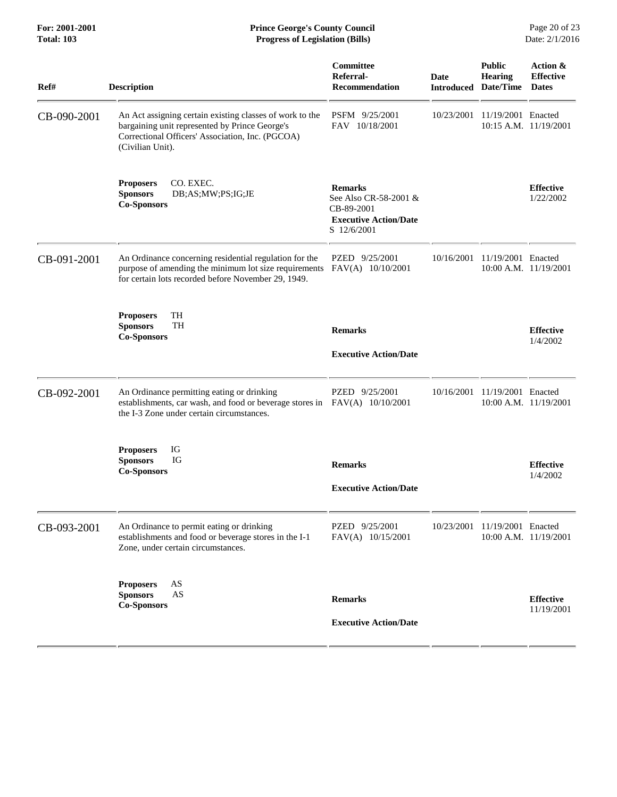| Ref#        | <b>Description</b>                                                                                                                                                                 | Committee<br>Referral-<br><b>Recommendation</b>                                                      | Date<br><b>Introduced</b> | <b>Public</b><br><b>Hearing</b><br>Date/Time | Action &<br><b>Effective</b><br><b>Dates</b> |
|-------------|------------------------------------------------------------------------------------------------------------------------------------------------------------------------------------|------------------------------------------------------------------------------------------------------|---------------------------|----------------------------------------------|----------------------------------------------|
| CB-090-2001 | An Act assigning certain existing classes of work to the<br>bargaining unit represented by Prince George's<br>Correctional Officers' Association, Inc. (PGCOA)<br>(Civilian Unit). | PSFM 9/25/2001<br>FAV 10/18/2001                                                                     | 10/23/2001                | 11/19/2001 Enacted                           | 10:15 A.M. 11/19/2001                        |
|             | CO. EXEC.<br><b>Proposers</b><br><b>Sponsors</b><br>DB;AS;MW;PS;IG;JE<br><b>Co-Sponsors</b>                                                                                        | <b>Remarks</b><br>See Also CR-58-2001 &<br>CB-89-2001<br><b>Executive Action/Date</b><br>S 12/6/2001 |                           |                                              | <b>Effective</b><br>1/22/2002                |
| CB-091-2001 | An Ordinance concerning residential regulation for the<br>purpose of amending the minimum lot size requirements<br>for certain lots recorded before November 29, 1949.             | PZED 9/25/2001<br>FAV(A) 10/10/2001                                                                  | 10/16/2001                | 11/19/2001 Enacted                           | $10:00$ A.M. $11/19/2001$                    |
|             | <b>Proposers</b><br>TH<br><b>TH</b><br><b>Sponsors</b><br><b>Co-Sponsors</b>                                                                                                       | <b>Remarks</b><br><b>Executive Action/Date</b>                                                       |                           |                                              | <b>Effective</b><br>1/4/2002                 |
| CB-092-2001 | An Ordinance permitting eating or drinking<br>establishments, car wash, and food or beverage stores in FAV(A) 10/10/2001<br>the I-3 Zone under certain circumstances.              | PZED 9/25/2001                                                                                       |                           | 10/16/2001 11/19/2001 Enacted                | 10:00 A.M. 11/19/2001                        |
|             | IG<br><b>Proposers</b><br><b>Sponsors</b><br>IG<br><b>Co-Sponsors</b>                                                                                                              | <b>Remarks</b><br><b>Executive Action/Date</b>                                                       |                           |                                              | <b>Effective</b><br>1/4/2002                 |
| CB-093-2001 | An Ordinance to permit eating or drinking<br>establishments and food or beverage stores in the I-1<br>Zone, under certain circumstances.                                           | PZED 9/25/2001<br>FAV(A) 10/15/2001                                                                  |                           | 10/23/2001 11/19/2001 Enacted                | 10:00 A.M. 11/19/2001                        |
|             | AS<br><b>Proposers</b><br>AS<br><b>Sponsors</b><br><b>Co-Sponsors</b>                                                                                                              | <b>Remarks</b><br><b>Executive Action/Date</b>                                                       |                           |                                              | <b>Effective</b><br>11/19/2001               |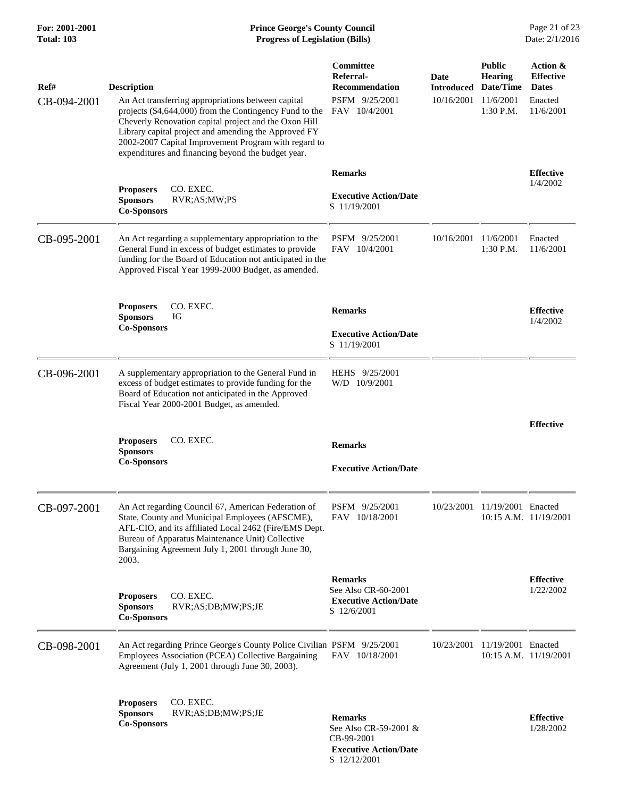## **For: 2001-2001 Prince George's County Council** Page 21 of 23<br> **Prince George's County Council** Page 21 of 23<br> **Progress of Legislation (Bills)** Date: 2/1/2016 **Total: 103 Progress of Legislation (Bills)**

| Ref#<br>CB-094-2001 | <b>Description</b><br>An Act transferring appropriations between capital<br>projects (\$4,644,000) from the Contingency Fund to the<br>Cheverly Renovation capital project and the Oxon Hill<br>Library capital project and amending the Approved FY<br>2002-2007 Capital Improvement Program with regard to<br>expenditures and financing beyond the budget year. | Committee<br>Referral-<br><b>Recommendation</b><br>PSFM 9/25/2001<br>FAV 10/4/2001                    | Date<br><b>Introduced</b><br>10/16/2001 11/6/2001 | <b>Public</b><br><b>Hearing</b><br>Date/Time<br>1:30 P.M. | Action &<br><b>Effective</b><br><b>Dates</b><br>Enacted<br>11/6/2001 |
|---------------------|--------------------------------------------------------------------------------------------------------------------------------------------------------------------------------------------------------------------------------------------------------------------------------------------------------------------------------------------------------------------|-------------------------------------------------------------------------------------------------------|---------------------------------------------------|-----------------------------------------------------------|----------------------------------------------------------------------|
|                     | CO. EXEC.<br><b>Proposers</b><br><b>Sponsors</b><br>RVR;AS;MW;PS<br><b>Co-Sponsors</b>                                                                                                                                                                                                                                                                             | <b>Remarks</b><br><b>Executive Action/Date</b><br>S 11/19/2001                                        |                                                   |                                                           | <b>Effective</b><br>1/4/2002                                         |
| CB-095-2001         | An Act regarding a supplementary appropriation to the<br>General Fund in excess of budget estimates to provide<br>funding for the Board of Education not anticipated in the<br>Approved Fiscal Year 1999-2000 Budget, as amended.                                                                                                                                  | PSFM 9/25/2001<br>FAV 10/4/2001                                                                       | 10/16/2001 11/6/2001                              | 1:30 P.M.                                                 | Enacted<br>11/6/2001                                                 |
|                     | CO. EXEC.<br><b>Proposers</b><br>IG<br><b>Sponsors</b><br><b>Co-Sponsors</b>                                                                                                                                                                                                                                                                                       | <b>Remarks</b><br><b>Executive Action/Date</b><br>S 11/19/2001                                        |                                                   |                                                           | <b>Effective</b><br>1/4/2002                                         |
| CB-096-2001         | A supplementary appropriation to the General Fund in<br>excess of budget estimates to provide funding for the<br>Board of Education not anticipated in the Approved<br>Fiscal Year 2000-2001 Budget, as amended.                                                                                                                                                   | HEHS 9/25/2001<br>W/D 10/9/2001                                                                       |                                                   |                                                           |                                                                      |
|                     | CO. EXEC.<br><b>Proposers</b><br><b>Sponsors</b><br><b>Co-Sponsors</b>                                                                                                                                                                                                                                                                                             | <b>Remarks</b><br><b>Executive Action/Date</b>                                                        |                                                   |                                                           | <b>Effective</b>                                                     |
| CB-097-2001         | An Act regarding Council 67, American Federation of<br>State, County and Municipal Employees (AFSCME),<br>AFL-CIO, and its affiliated Local 2462 (Fire/EMS Dept.<br>Bureau of Apparatus Maintenance Unit) Collective<br>Bargaining Agreement July 1, 2001 through June 30,<br>2003.                                                                                | PSFM 9/25/2001<br>FAV 10/18/2001                                                                      |                                                   | 10/23/2001 11/19/2001 Enacted                             | $10:15$ A.M. $11/19/2001$                                            |
|                     | CO. EXEC.<br><b>Proposers</b><br><b>Sponsors</b><br>RVR;AS;DB;MW;PS;JE<br><b>Co-Sponsors</b>                                                                                                                                                                                                                                                                       | <b>Remarks</b><br>See Also CR-60-2001<br><b>Executive Action/Date</b><br>S 12/6/2001                  |                                                   |                                                           | <b>Effective</b><br>1/22/2002                                        |
| CB-098-2001         | An Act regarding Prince George's County Police Civilian PSFM 9/25/2001<br>Employees Association (PCEA) Collective Bargaining<br>Agreement (July 1, 2001 through June 30, 2003).                                                                                                                                                                                    | FAV 10/18/2001                                                                                        |                                                   | 10/23/2001 11/19/2001 Enacted                             | 10:15 A.M. 11/19/2001                                                |
|                     | CO. EXEC.<br><b>Proposers</b><br><b>Sponsors</b><br>RVR;AS;DB;MW;PS;JE<br><b>Co-Sponsors</b>                                                                                                                                                                                                                                                                       | <b>Remarks</b><br>See Also CR-59-2001 &<br>CB-99-2001<br><b>Executive Action/Date</b><br>S 12/12/2001 |                                                   |                                                           | <b>Effective</b><br>1/28/2002                                        |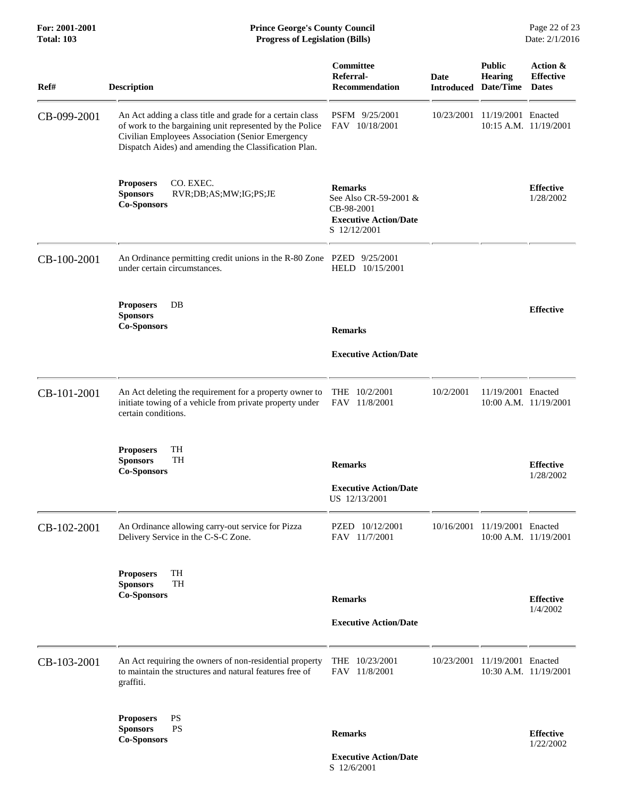| <b>Total: 103</b> | <b>Progress of Legislation (Bills)</b>                                                                                                                                                                                             |                                                                                                       |            | Date: 2/1/2016                                                 |                                              |
|-------------------|------------------------------------------------------------------------------------------------------------------------------------------------------------------------------------------------------------------------------------|-------------------------------------------------------------------------------------------------------|------------|----------------------------------------------------------------|----------------------------------------------|
| Ref#              | <b>Description</b>                                                                                                                                                                                                                 | Committee<br>Referral-<br><b>Recommendation</b>                                                       | Date       | <b>Public</b><br><b>Hearing</b><br><b>Introduced Date/Time</b> | Action &<br><b>Effective</b><br><b>Dates</b> |
| CB-099-2001       | An Act adding a class title and grade for a certain class<br>of work to the bargaining unit represented by the Police<br>Civilian Employees Association (Senior Emergency<br>Dispatch Aides) and amending the Classification Plan. | PSFM 9/25/2001<br>FAV 10/18/2001                                                                      | 10/23/2001 | 11/19/2001 Enacted                                             | 10:15 A.M. 11/19/2001                        |
|                   | CO. EXEC.<br><b>Proposers</b><br><b>Sponsors</b><br>RVR;DB;AS;MW;IG;PS;JE<br><b>Co-Sponsors</b>                                                                                                                                    | <b>Remarks</b><br>See Also CR-59-2001 &<br>CB-98-2001<br><b>Executive Action/Date</b><br>S 12/12/2001 |            |                                                                | <b>Effective</b><br>1/28/2002                |
| CB-100-2001       | An Ordinance permitting credit unions in the R-80 Zone PZED 9/25/2001<br>under certain circumstances.                                                                                                                              | HELD 10/15/2001                                                                                       |            |                                                                |                                              |
|                   | DB<br><b>Proposers</b><br><b>Sponsors</b><br><b>Co-Sponsors</b>                                                                                                                                                                    | <b>Remarks</b>                                                                                        |            |                                                                | <b>Effective</b>                             |
|                   |                                                                                                                                                                                                                                    | <b>Executive Action/Date</b>                                                                          |            |                                                                |                                              |
| CB-101-2001       | An Act deleting the requirement for a property owner to<br>initiate towing of a vehicle from private property under<br>certain conditions.                                                                                         | THE 10/2/2001<br>FAV 11/8/2001                                                                        | 10/2/2001  | 11/19/2001 Enacted                                             | 10:00 A.M. 11/19/2001                        |
|                   | TH<br><b>Proposers</b><br><b>Sponsors</b><br>TH<br><b>Co-Sponsors</b>                                                                                                                                                              | <b>Remarks</b>                                                                                        |            |                                                                | <b>Effective</b><br>1/28/2002                |
|                   |                                                                                                                                                                                                                                    | <b>Executive Action/Date</b><br>US 12/13/2001                                                         |            |                                                                |                                              |
| CB-102-2001       | An Ordinance allowing carry-out service for Pizza<br>Delivery Service in the C-S-C Zone.                                                                                                                                           | PZED 10/12/2001<br>FAV 11/7/2001                                                                      |            | 10/16/2001 11/19/2001 Enacted                                  | 10:00 A.M. 11/19/2001                        |
|                   | TH<br><b>Proposers</b><br>TH<br><b>Sponsors</b><br><b>Co-Sponsors</b>                                                                                                                                                              | <b>Remarks</b>                                                                                        |            |                                                                | <b>Effective</b>                             |
|                   |                                                                                                                                                                                                                                    | <b>Executive Action/Date</b>                                                                          |            |                                                                | 1/4/2002                                     |
|                   |                                                                                                                                                                                                                                    |                                                                                                       |            |                                                                |                                              |
| CB-103-2001       | An Act requiring the owners of non-residential property<br>to maintain the structures and natural features free of<br>graffiti.                                                                                                    | THE 10/23/2001<br>FAV 11/8/2001                                                                       | 10/23/2001 | 11/19/2001 Enacted                                             | 10:30 A.M. 11/19/2001                        |
|                   | $\mathbf{P}\mathbf{S}$<br><b>Proposers</b><br><b>Sponsors</b><br><b>PS</b><br><b>Co-Sponsors</b>                                                                                                                                   | <b>Remarks</b>                                                                                        |            |                                                                | <b>Effective</b><br>1/22/2002                |

For: 2001-2001 **Prince George's County Council** Page 22 of 23

 **Executive Action/Date** S 12/6/2001